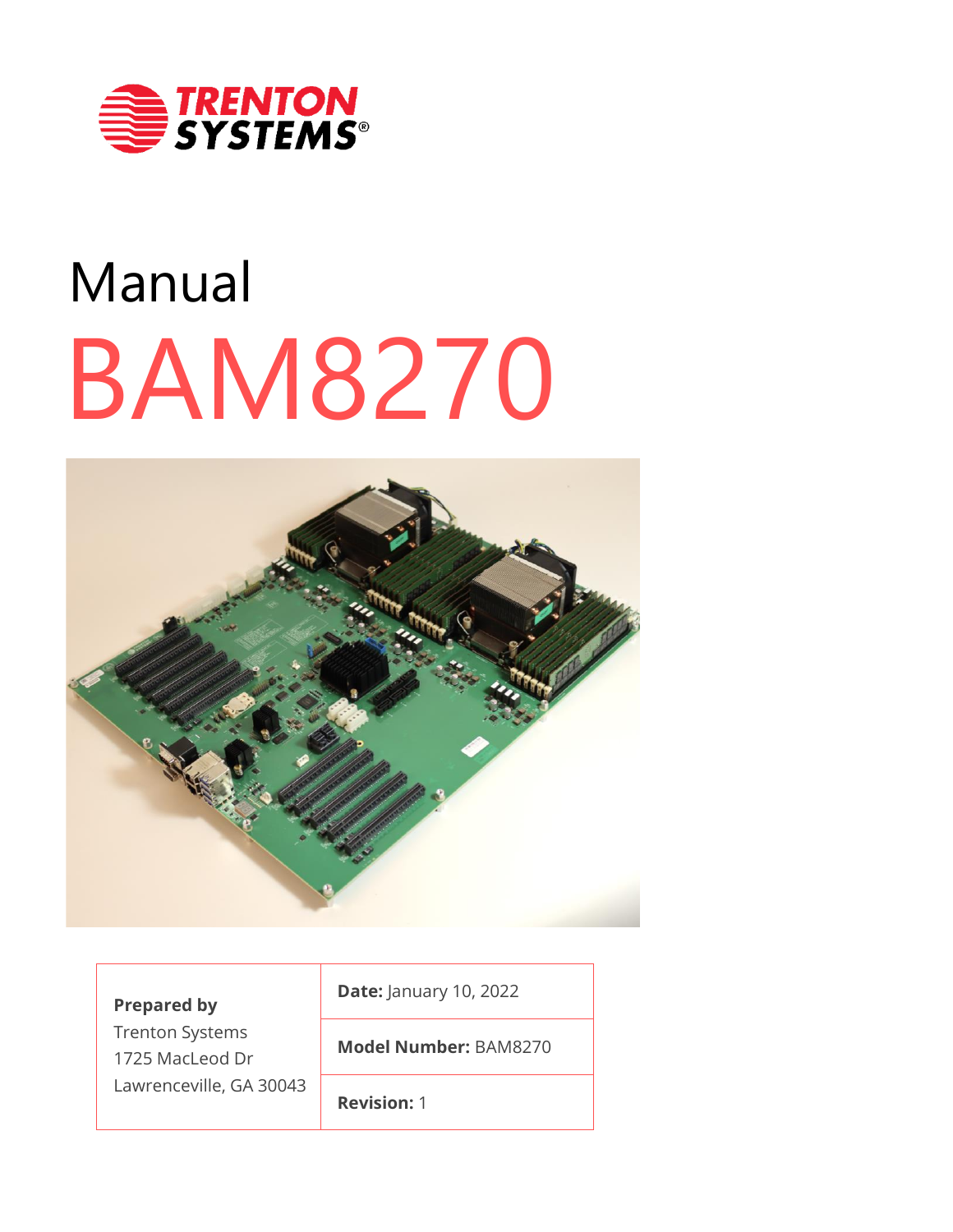

# BAM8270 Manual



| <b>Prepared by</b><br><b>Trenton Systems</b><br>1725 MacLeod Dr<br>Lawrenceville, GA 30043 | <b>Date: January 10, 2022</b> |  |
|--------------------------------------------------------------------------------------------|-------------------------------|--|
|                                                                                            | <b>Model Number: BAM8270</b>  |  |
|                                                                                            | <b>Revision: 1</b>            |  |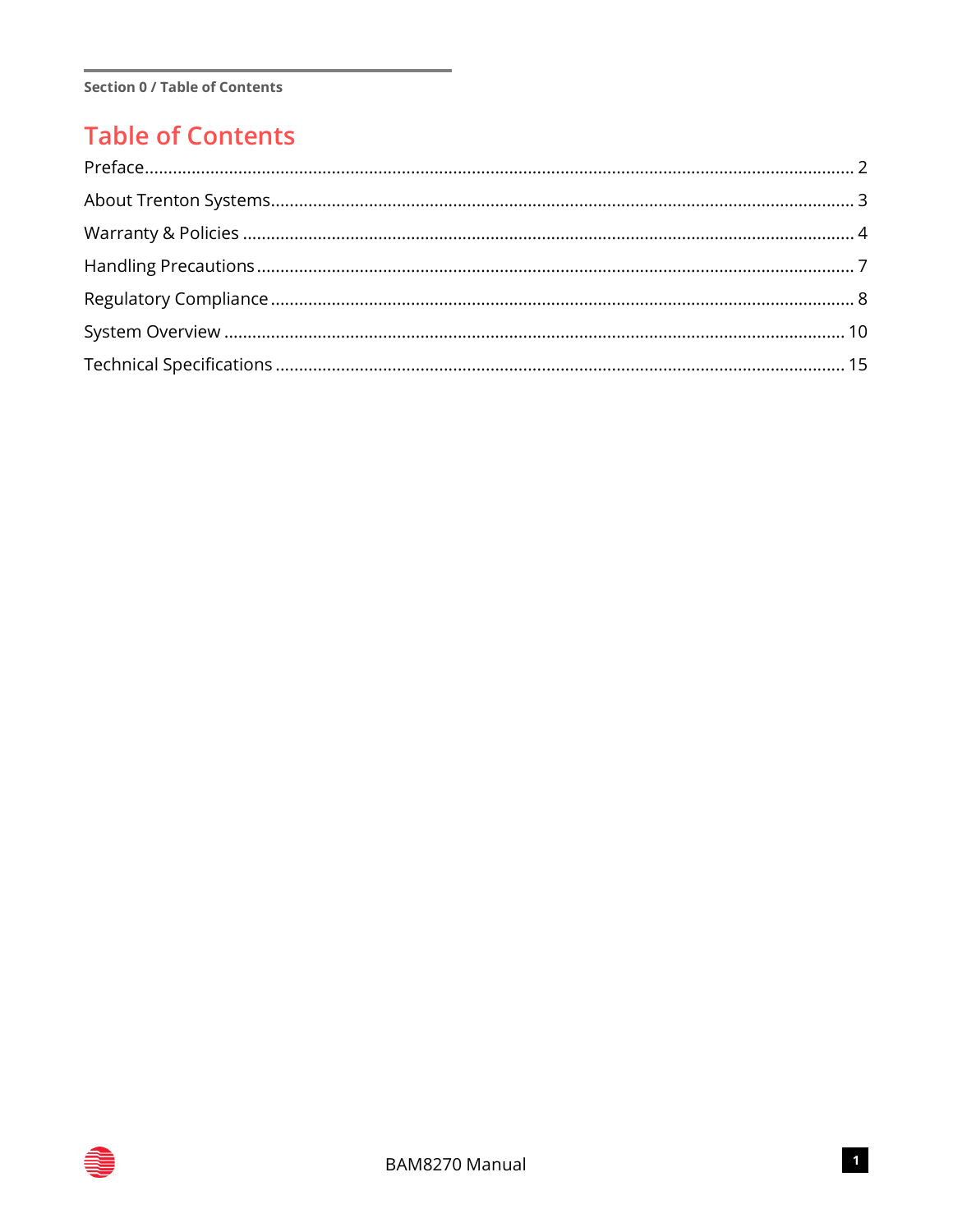## **Table of Contents**

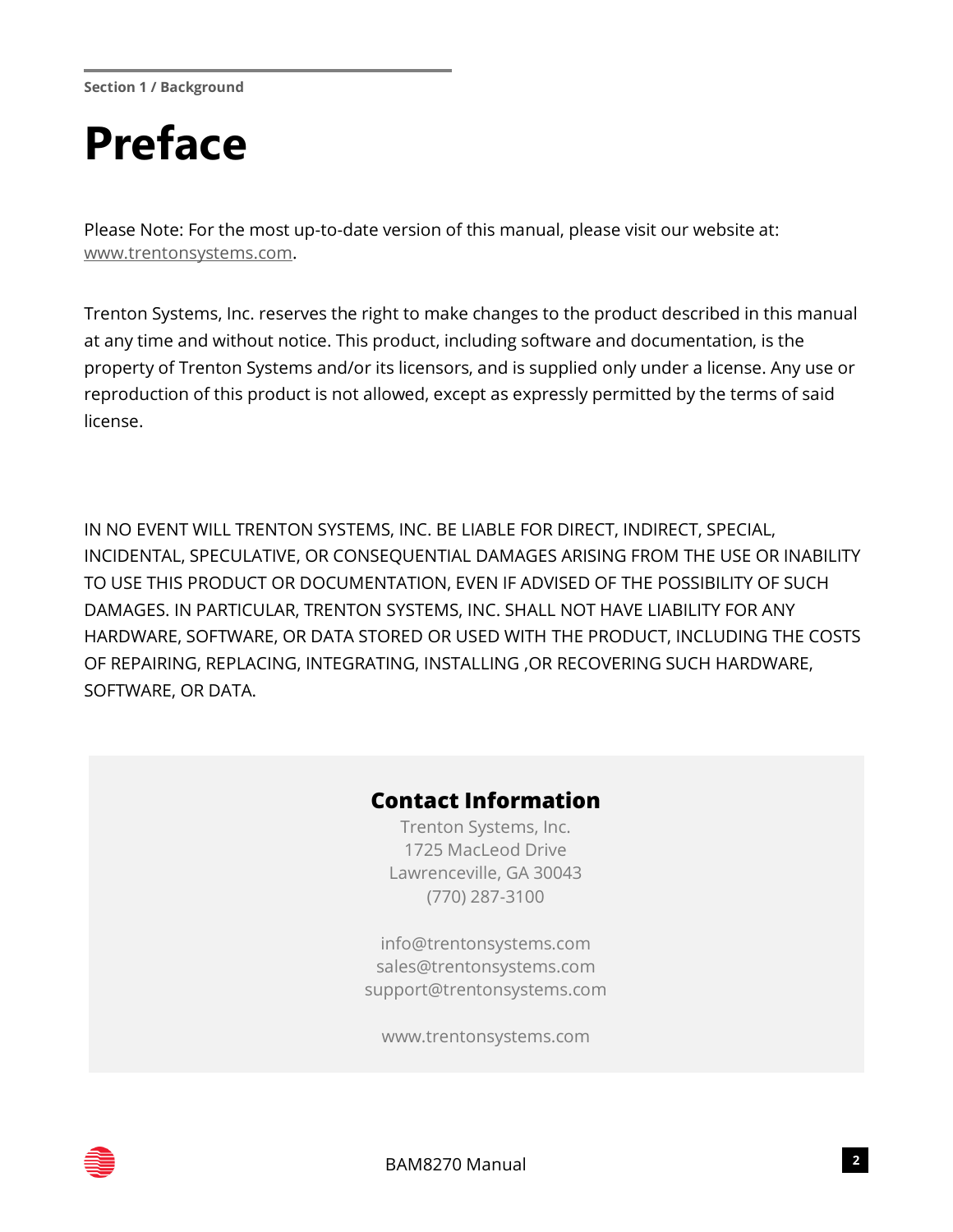**Section 1 / Background**

## <span id="page-2-0"></span>**Preface**

Please Note: For the most up-to-date version of this manual, please visit our website at: [www.trentonsystems.com.](http://www.trentonsystems.com/)

Trenton Systems, Inc. reserves the right to make changes to the product described in this manual at any time and without notice. This product, including software and documentation, is the property of Trenton Systems and/or its licensors, and is supplied only under a license. Any use or reproduction of this product is not allowed, except as expressly permitted by the terms of said license.

IN NO EVENT WILL TRENTON SYSTEMS, INC. BE LIABLE FOR DIRECT, INDIRECT, SPECIAL, INCIDENTAL, SPECULATIVE, OR CONSEQUENTIAL DAMAGES ARISING FROM THE USE OR INABILITY TO USE THIS PRODUCT OR DOCUMENTATION, EVEN IF ADVISED OF THE POSSIBILITY OF SUCH DAMAGES. IN PARTICULAR, TRENTON SYSTEMS, INC. SHALL NOT HAVE LIABILITY FOR ANY HARDWARE, SOFTWARE, OR DATA STORED OR USED WITH THE PRODUCT, INCLUDING THE COSTS OF REPAIRING, REPLACING, INTEGRATING, INSTALLING ,OR RECOVERING SUCH HARDWARE, SOFTWARE, OR DATA.

#### **Contact Information**

Trenton Systems, Inc. 1725 MacLeod Drive Lawrenceville, GA 30043 (770) 287-3100

[info@trentonsystems.com](mailto:info@trentonsystems.com) [sales@trentonsystems.com](mailto:sales@trentonsystems.com) [support@trentonsystems.com](mailto:support@trentonsystems.com)

www.trentonsystems.com

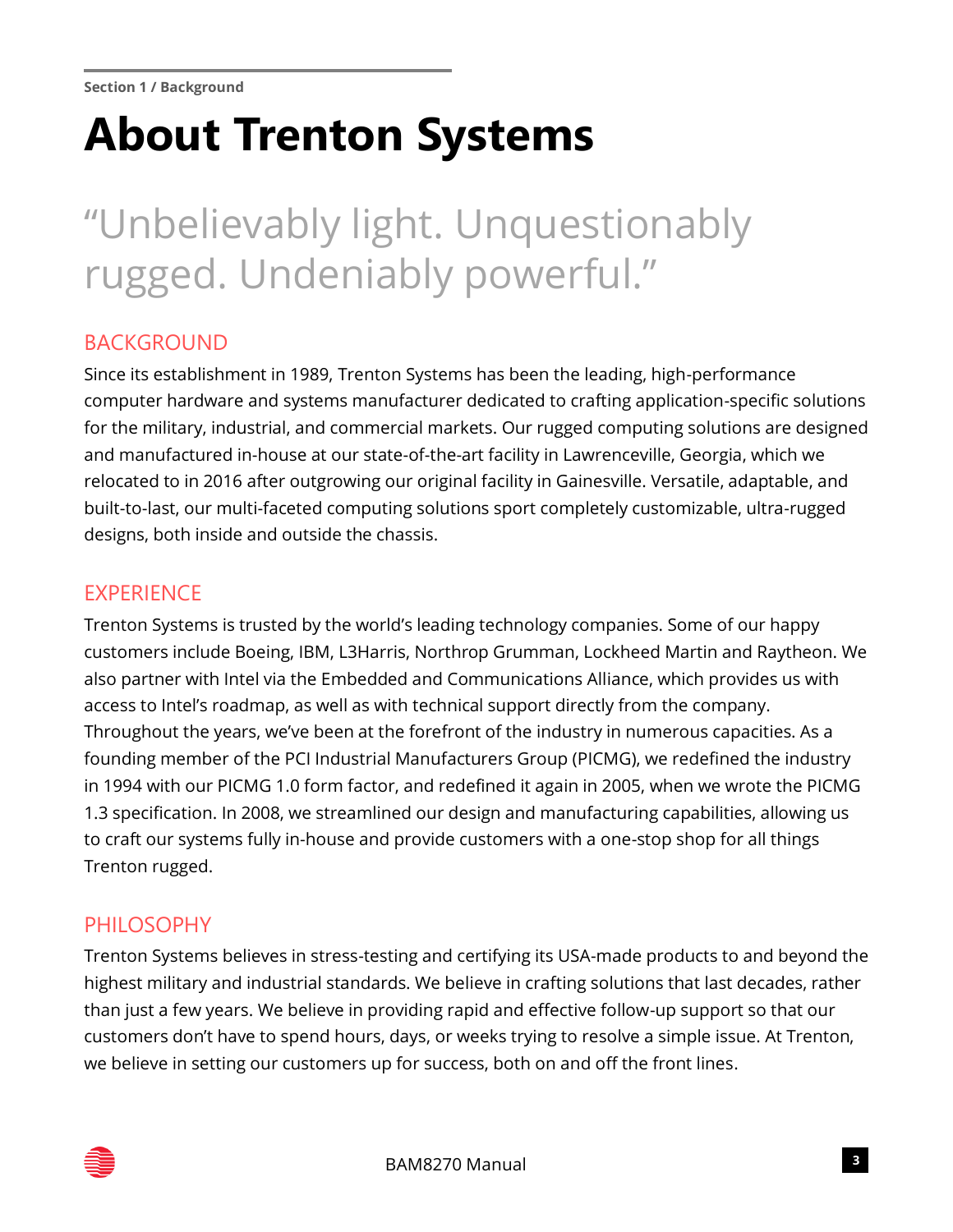## <span id="page-3-0"></span>**About Trenton Systems**

## "Unbelievably light. Unquestionably rugged. Undeniably powerful."

#### BACKGROUND

Since its establishment in 1989, Trenton Systems has been the leading, high-performance computer hardware and systems manufacturer dedicated to crafting application-specific solutions for the military, industrial, and commercial markets. Our rugged computing solutions are designed and manufactured in-house at our state-of-the-art facility in Lawrenceville, Georgia, which we relocated to in 2016 after outgrowing our original facility in Gainesville. Versatile, adaptable, and built-to-last, our multi-faceted computing solutions sport completely customizable, ultra-rugged designs, both inside and outside the chassis.

#### **EXPERIENCE**

Trenton Systems is trusted by the world's leading technology companies. Some of our happy customers include Boeing, IBM, L3Harris, Northrop Grumman, Lockheed Martin and Raytheon. We also partner with Intel via the Embedded and Communications Alliance, which provides us with access to Intel's roadmap, as well as with technical support directly from the company. Throughout the years, we've been at the forefront of the industry in numerous capacities. As a founding member of the PCI Industrial Manufacturers Group (PICMG), we redefined the industry in 1994 with our PICMG 1.0 form factor, and redefined it again in 2005, when we wrote the PICMG 1.3 specification. In 2008, we streamlined our design and manufacturing capabilities, allowing us to craft our systems fully in-house and provide customers with a one-stop shop for all things Trenton rugged.

#### PHILOSOPHY

Trenton Systems believes in stress-testing and certifying its USA-made products to and beyond the highest military and industrial standards. We believe in crafting solutions that last decades, rather than just a few years. We believe in providing rapid and effective follow-up support so that our customers don't have to spend hours, days, or weeks trying to resolve a simple issue. At Trenton, we believe in setting our customers up for success, both on and off the front lines.

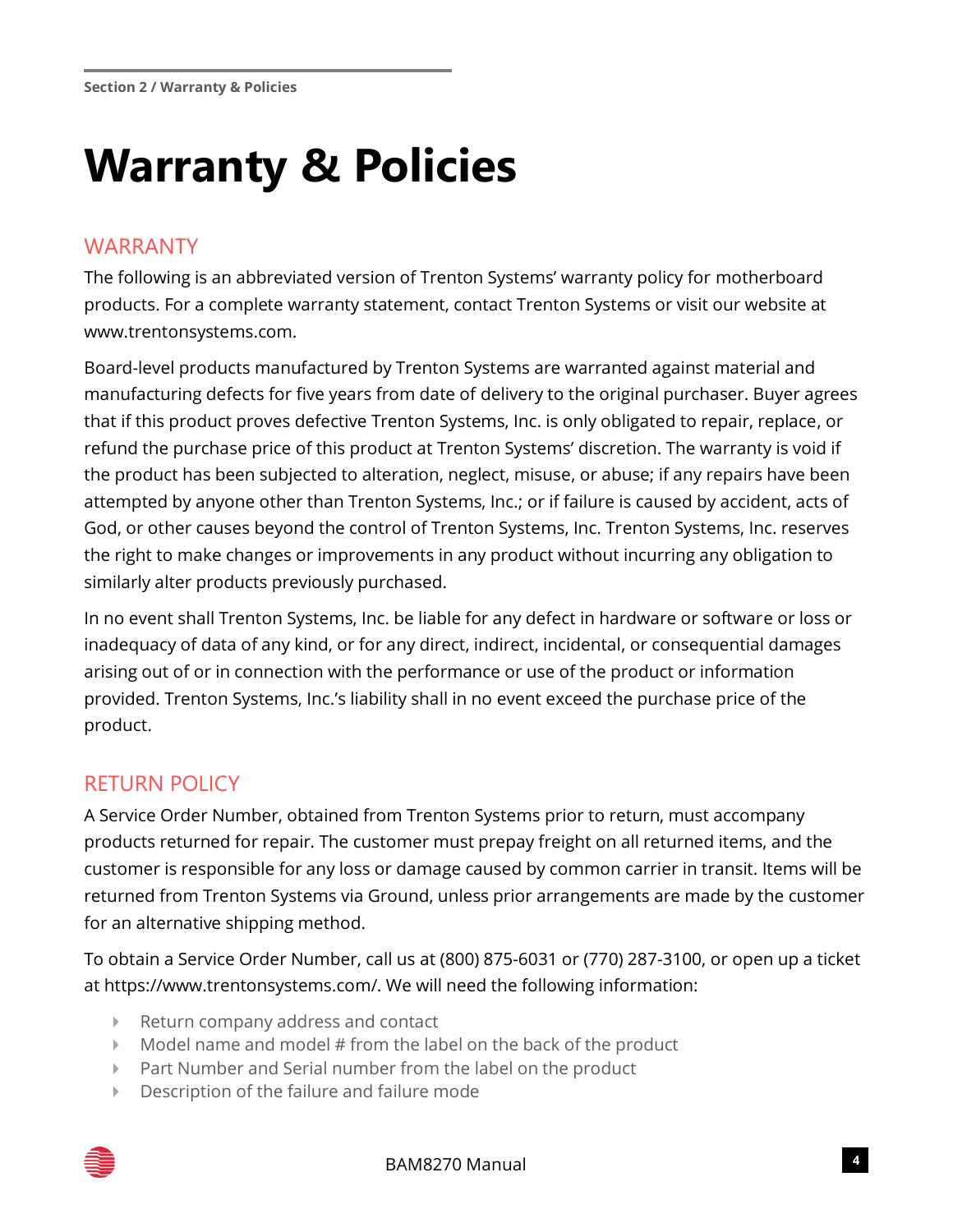## <span id="page-4-0"></span>**Warranty & Policies**

## WARRANTY

The following is an abbreviated version of Trenton Systems' warranty policy for motherboard products. For a complete warranty statement, contact Trenton Systems or visit our website at www.trentonsystems.com.

Board-level products manufactured by Trenton Systems are warranted against material and manufacturing defects for five years from date of delivery to the original purchaser. Buyer agrees that if this product proves defective Trenton Systems, Inc. is only obligated to repair, replace, or refund the purchase price of this product at Trenton Systems' discretion. The warranty is void if the product has been subjected to alteration, neglect, misuse, or abuse; if any repairs have been attempted by anyone other than Trenton Systems, Inc.; or if failure is caused by accident, acts of God, or other causes beyond the control of Trenton Systems, Inc. Trenton Systems, Inc. reserves the right to make changes or improvements in any product without incurring any obligation to similarly alter products previously purchased.

In no event shall Trenton Systems, Inc. be liable for any defect in hardware or software or loss or inadequacy of data of any kind, or for any direct, indirect, incidental, or consequential damages arising out of or in connection with the performance or use of the product or information provided. Trenton Systems, Inc.'s liability shall in no event exceed the purchase price of the product.

## RETURN POLICY

A Service Order Number, obtained from Trenton Systems prior to return, must accompany products returned for repair. The customer must prepay freight on all returned items, and the customer is responsible for any loss or damage caused by common carrier in transit. Items will be returned from Trenton Systems via Ground, unless prior arrangements are made by the customer for an alternative shipping method.

To obtain a Service Order Number, call us at (800) 875-6031 or (770) 287-3100, or open up a ticket at https://www.trentonsystems.com/. We will need the following information:

- ▶ Return company address and contact
- $\blacktriangleright$  Model name and model # from the label on the back of the product
- Part Number and Serial number from the label on the product
- Description of the failure and failure mode

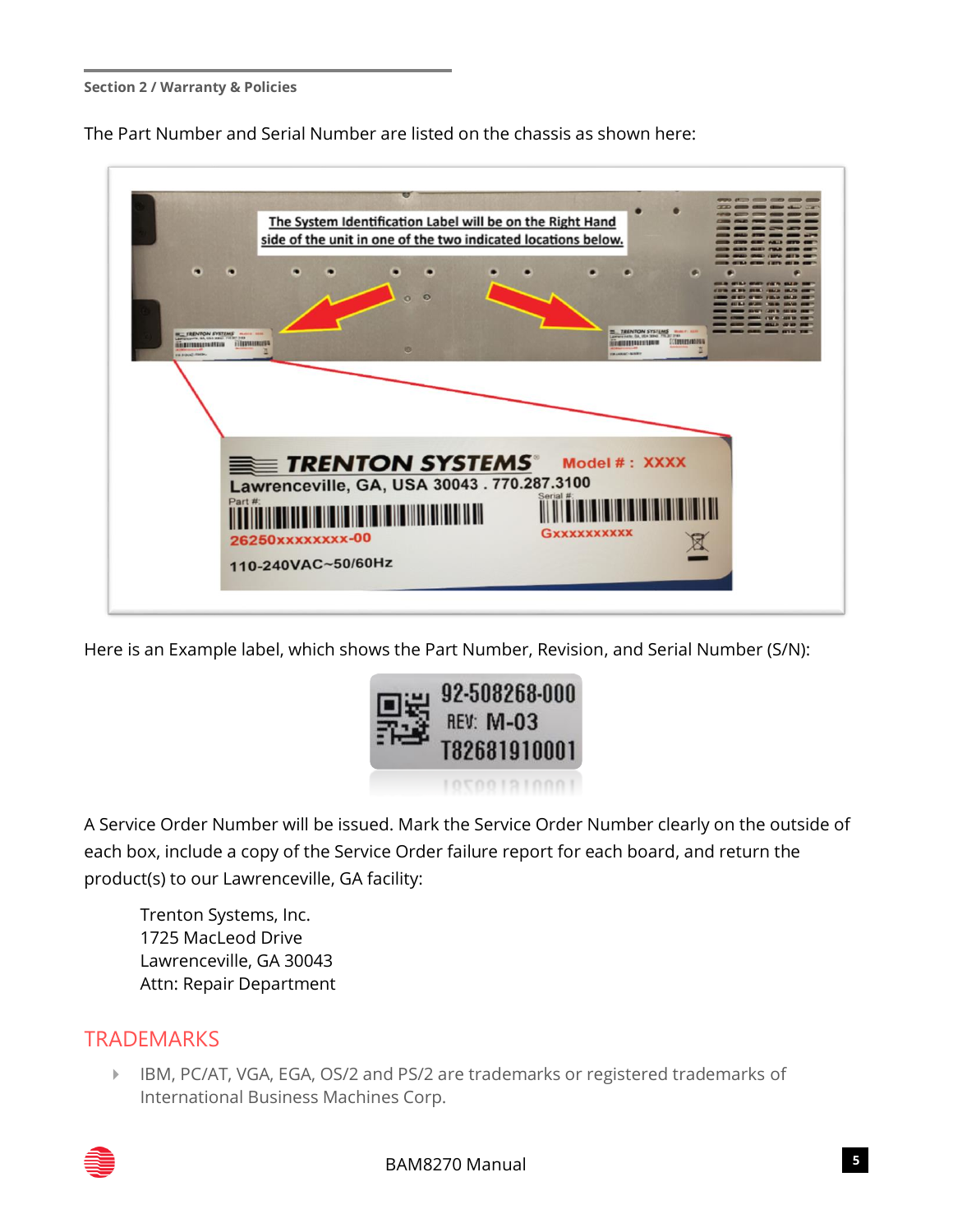#### **Section 2 / Warranty & Policies**

The Part Number and Serial Number are listed on the chassis as shown here:



Here is an Example label, which shows the Part Number, Revision, and Serial Number (S/N):



A Service Order Number will be issued. Mark the Service Order Number clearly on the outside of each box, include a copy of the Service Order failure report for each board, and return the product(s) to our Lawrenceville, GA facility:

Trenton Systems, Inc. 1725 MacLeod Drive Lawrenceville, GA 30043 Attn: Repair Department

#### **TRADEMARKS**

 IBM, PC/AT, VGA, EGA, OS/2 and PS/2 are trademarks or registered trademarks of International Business Machines Corp.

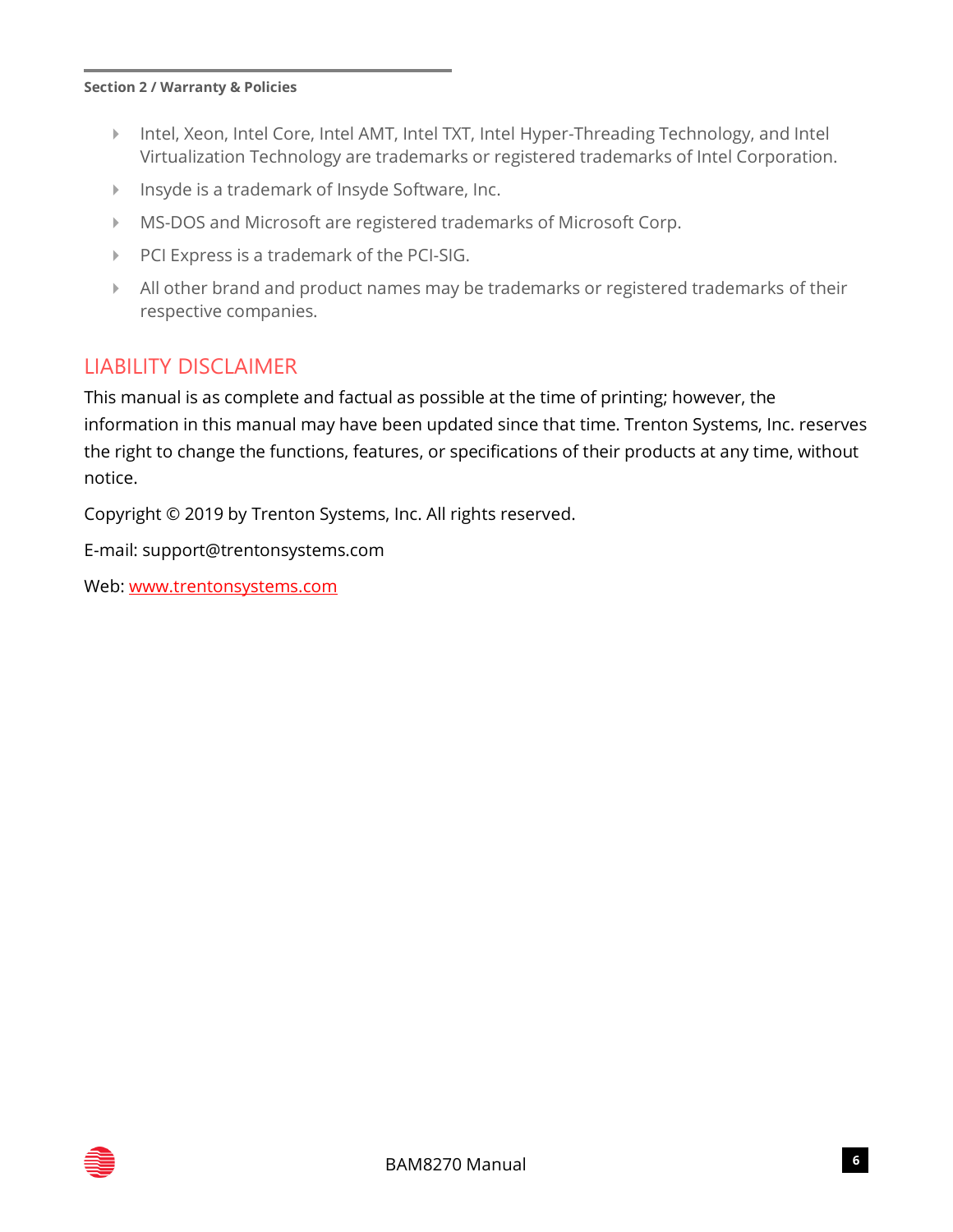#### **Section 2 / Warranty & Policies**

- Intel, Xeon, Intel Core, Intel AMT, Intel TXT, Intel Hyper-Threading Technology, and Intel Virtualization Technology are trademarks or registered trademarks of Intel Corporation.
- Insyde is a trademark of Insyde Software, Inc.
- MS-DOS and Microsoft are registered trademarks of Microsoft Corp.
- ▶ PCI Express is a trademark of the PCI-SIG.
- All other brand and product names may be trademarks or registered trademarks of their respective companies.

## LIABILITY DISCLAIMER

This manual is as complete and factual as possible at the time of printing; however, the information in this manual may have been updated since that time. Trenton Systems, Inc. reserves the right to change the functions, features, or specifications of their products at any time, without notice.

Copyright © 2019 by Trenton Systems, Inc. All rights reserved.

E-mail: support@trentonsystems.com

Web: [www.trentonsystems.com](http://www.trentonsystems.com/)

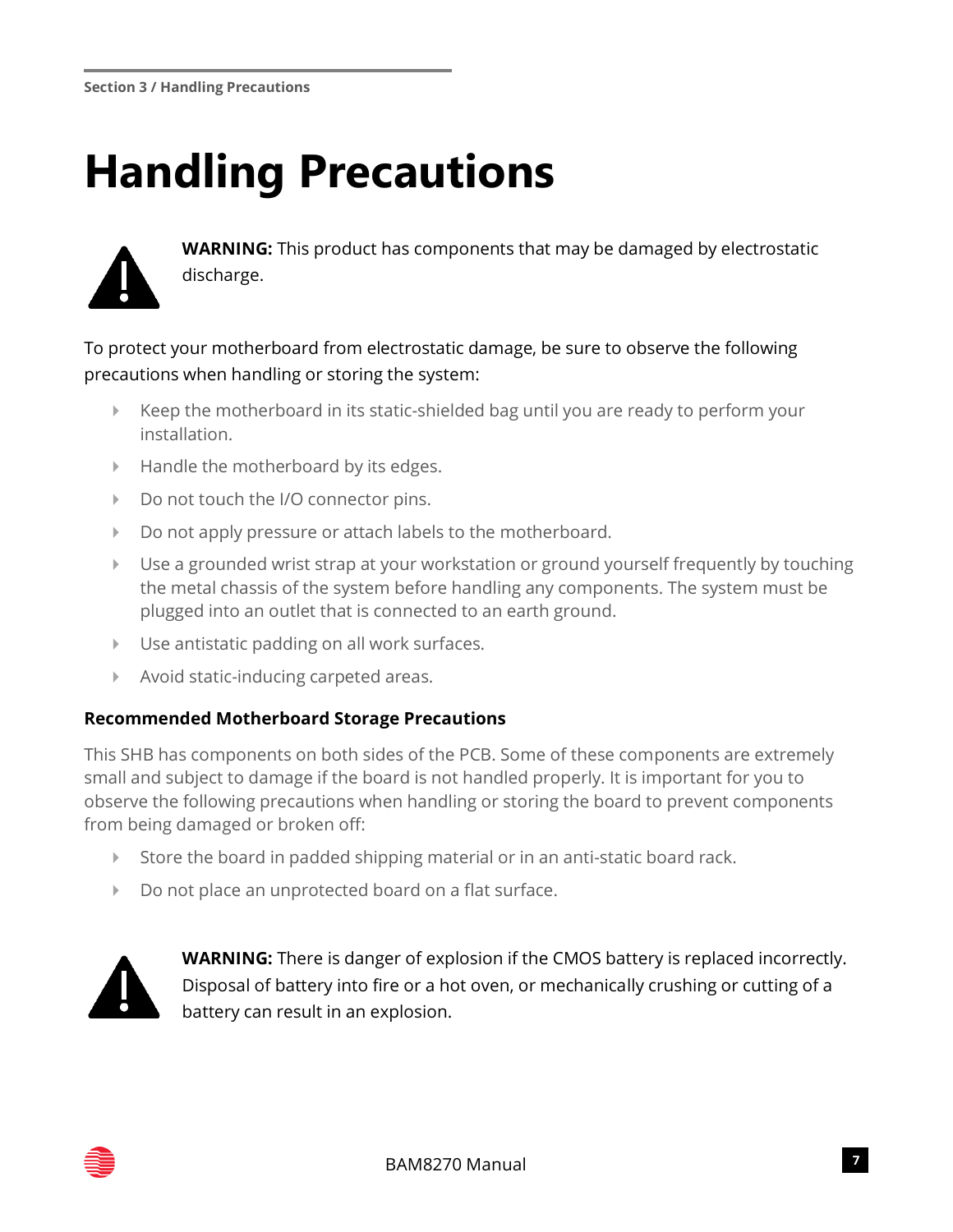## <span id="page-7-0"></span>**Handling Precautions**



**WARNING:** This product has components that may be damaged by electrostatic discharge.

To protect your motherboard from electrostatic damage, be sure to observe the following precautions when handling or storing the system:

- Keep the motherboard in its static-shielded bag until you are ready to perform your installation.
- $\blacktriangleright$  Handle the motherboard by its edges.
- Do not touch the I/O connector pins.
- Do not apply pressure or attach labels to the motherboard.
- Use a grounded wrist strap at your workstation or ground yourself frequently by touching the metal chassis of the system before handling any components. The system must be plugged into an outlet that is connected to an earth ground.
- Use antistatic padding on all work surfaces.
- Avoid static-inducing carpeted areas.

#### **Recommended Motherboard Storage Precautions**

This SHB has components on both sides of the PCB. Some of these components are extremely small and subject to damage if the board is not handled properly. It is important for you to observe the following precautions when handling or storing the board to prevent components from being damaged or broken off:

- Store the board in padded shipping material or in an anti-static board rack.
- Do not place an unprotected board on a flat surface.



**WARNING:** There is danger of explosion if the CMOS battery is replaced incorrectly. Disposal of battery into fire or a hot oven, or mechanically crushing or cutting of a battery can result in an explosion.

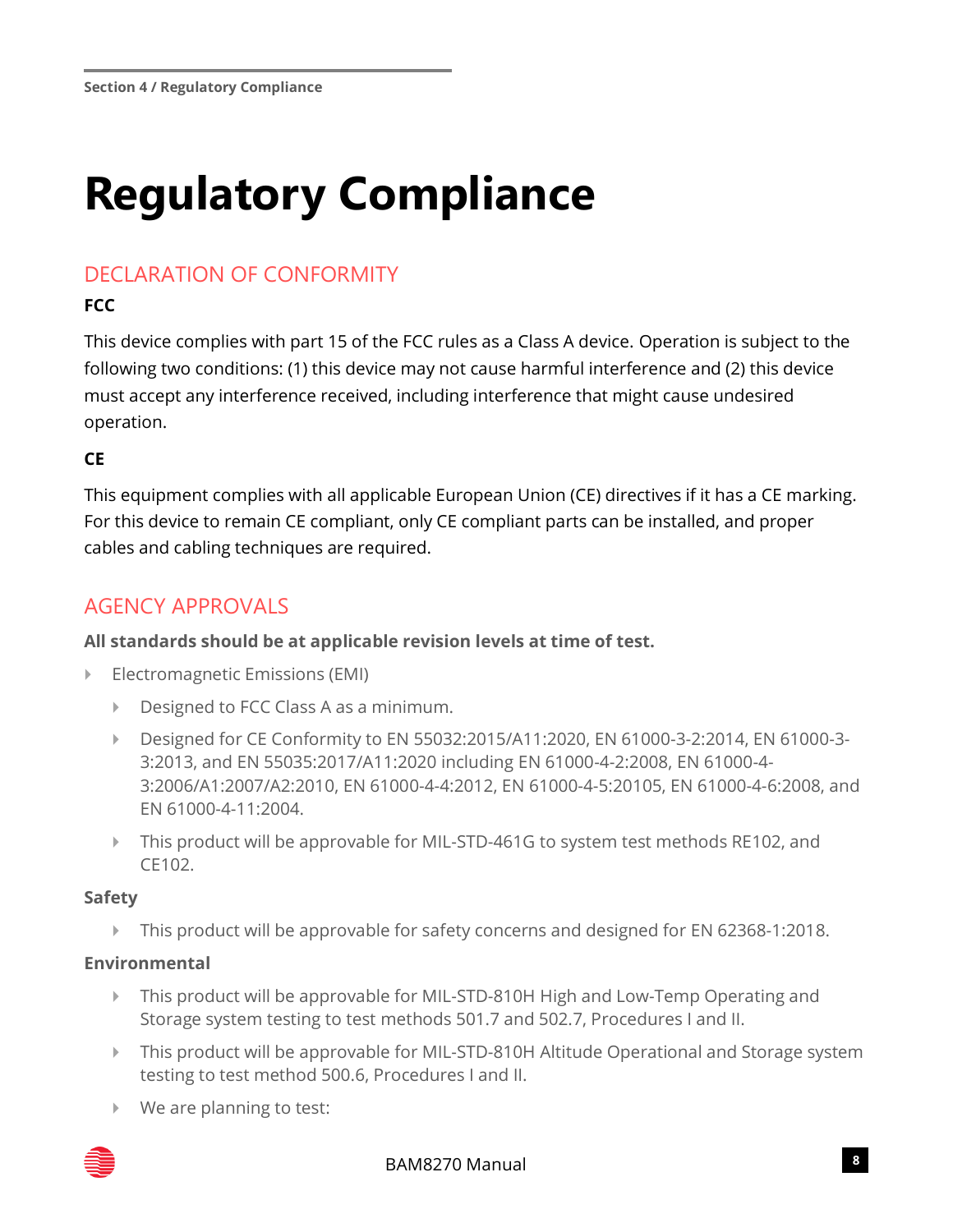## <span id="page-8-0"></span>**Regulatory Compliance**

## DECLARATION OF CONFORMITY

#### **FCC**

This device complies with part 15 of the FCC rules as a Class A device. Operation is subject to the following two conditions: (1) this device may not cause harmful interference and (2) this device must accept any interference received, including interference that might cause undesired operation.

#### **CE**

This equipment complies with all applicable European Union (CE) directives if it has a CE marking. For this device to remain CE compliant, only CE compliant parts can be installed, and proper cables and cabling techniques are required.

## AGENCY APPROVALS

#### **All standards should be at applicable revision levels at time of test.**

- Electromagnetic Emissions (EMI)
	- Designed to FCC Class A as a minimum.
	- ▶ Designed for CE Conformity to EN 55032:2015/A11:2020, EN 61000-3-2:2014, EN 61000-3-3:2013, and EN 55035:2017/A11:2020 including EN 61000-4-2:2008, EN 61000-4- 3:2006/A1:2007/A2:2010, EN 61000-4-4:2012, EN 61000-4-5:20105, EN 61000-4-6:2008, and EN 61000-4-11:2004.
	- ▶ This product will be approvable for MIL-STD-461G to system test methods RE102, and CE102.

#### **Safety**

This product will be approvable for safety concerns and designed for EN 62368-1:2018.

#### **Environmental**

- This product will be approvable for MIL-STD-810H High and Low-Temp Operating and Storage system testing to test methods 501.7 and 502.7, Procedures I and II.
- This product will be approvable for MIL-STD-810H Altitude Operational and Storage system testing to test method 500.6, Procedures I and II.
- ▶ We are planning to test:

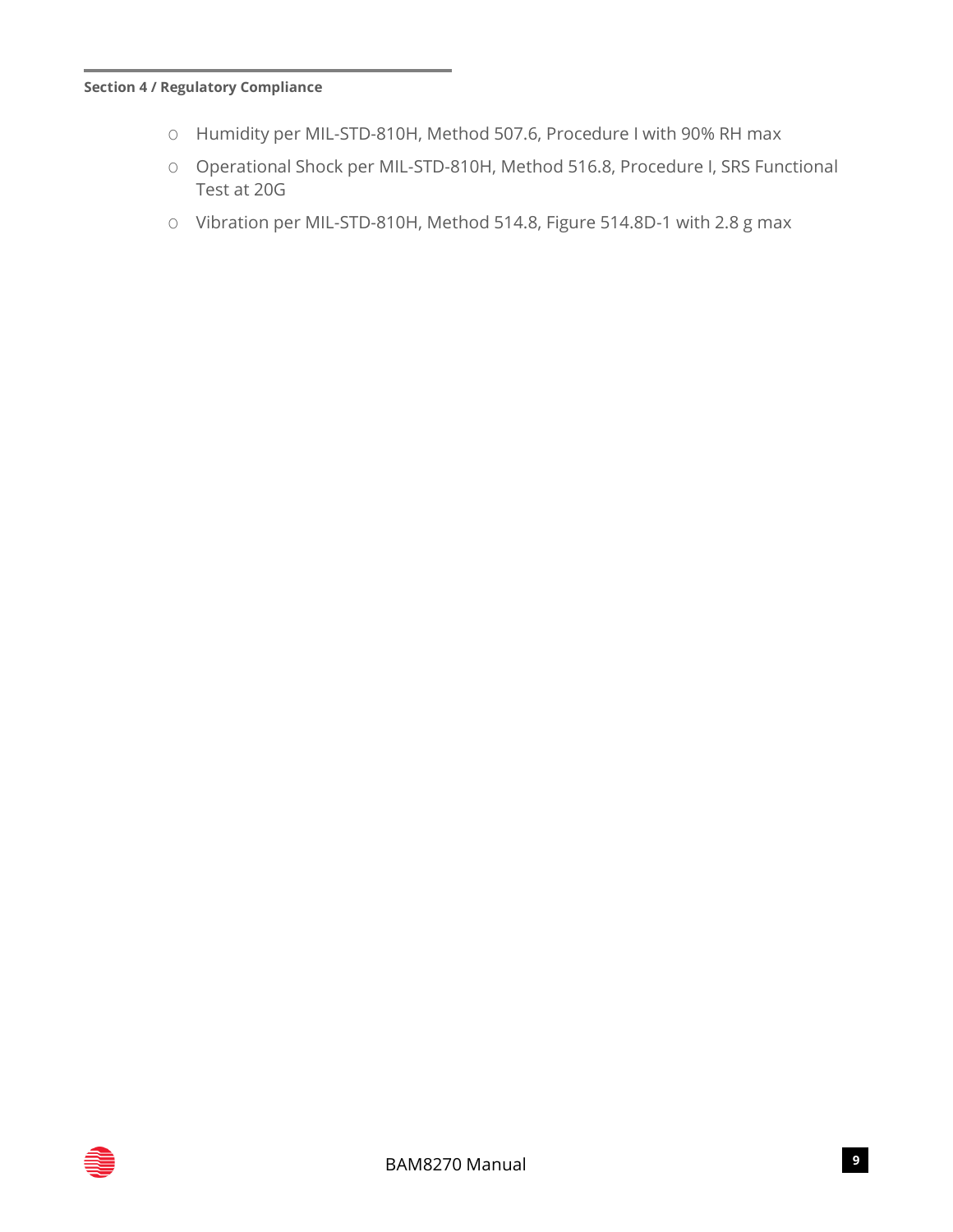#### **Section 4 / Regulatory Compliance**

- O Humidity per MIL-STD-810H, Method 507.6, Procedure I with 90% RH max
- O Operational Shock per MIL-STD-810H, Method 516.8, Procedure I, SRS Functional Test at 20G
- O Vibration per MIL-STD-810H, Method 514.8, Figure 514.8D-1 with 2.8 g max

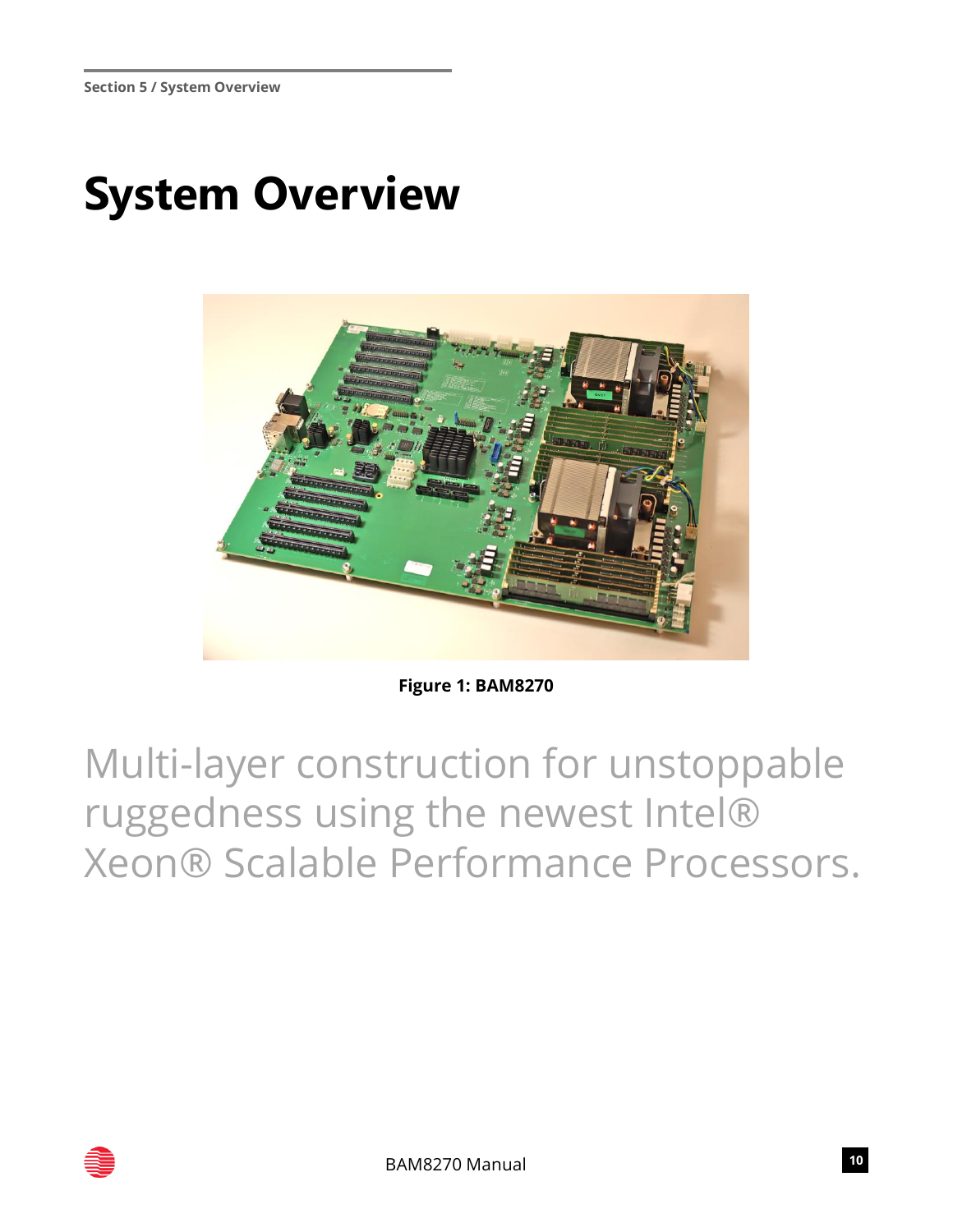## <span id="page-10-0"></span>**System Overview**



**Figure 1: BAM8270**

Multi-layer construction for unstoppable ruggedness using the newest Intel® Xeon® Scalable Performance Processors.

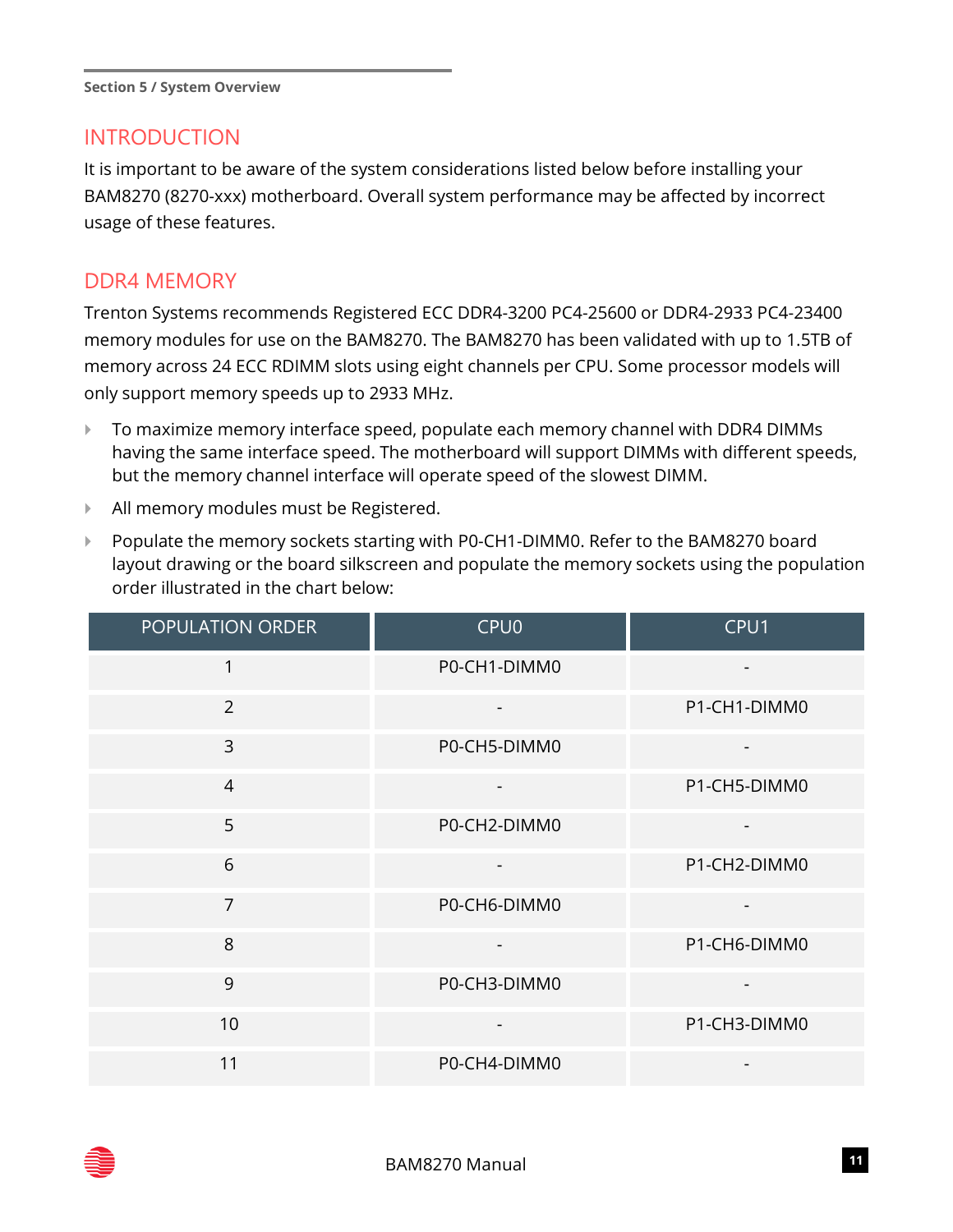#### INTRODUCTION

It is important to be aware of the system considerations listed below before installing your BAM8270 (8270-xxx) motherboard. Overall system performance may be affected by incorrect usage of these features.

#### DDR4 MEMORY

Trenton Systems recommends Registered ECC DDR4-3200 PC4-25600 or DDR4-2933 PC4-23400 memory modules for use on the BAM8270. The BAM8270 has been validated with up to 1.5TB of memory across 24 ECC RDIMM slots using eight channels per CPU. Some processor models will only support memory speeds up to 2933 MHz.

- ▶ To maximize memory interface speed, populate each memory channel with DDR4 DIMMs having the same interface speed. The motherboard will support DIMMs with different speeds, but the memory channel interface will operate speed of the slowest DIMM.
- All memory modules must be Registered.
- **Populate the memory sockets starting with P0-CH1-DIMM0. Refer to the BAM8270 board** layout drawing or the board silkscreen and populate the memory sockets using the population order illustrated in the chart below:

| POPULATION ORDER | CPU <sub>0</sub> | CPU1                         |
|------------------|------------------|------------------------------|
| 1                | P0-CH1-DIMM0     |                              |
| 2                |                  | P1-CH1-DIMM0                 |
| 3                | P0-CH5-DIMM0     |                              |
| $\overline{4}$   |                  | P1-CH5-DIMM0                 |
| 5                | P0-CH2-DIMM0     |                              |
| 6                |                  | P1-CH2-DIMM0                 |
| $\overline{7}$   | P0-CH6-DIMM0     | $\qquad \qquad \blacksquare$ |
| 8                |                  | P1-CH6-DIMM0                 |
| 9                | P0-CH3-DIMM0     |                              |
| 10               |                  | P1-CH3-DIMM0                 |
| 11               | P0-CH4-DIMM0     |                              |

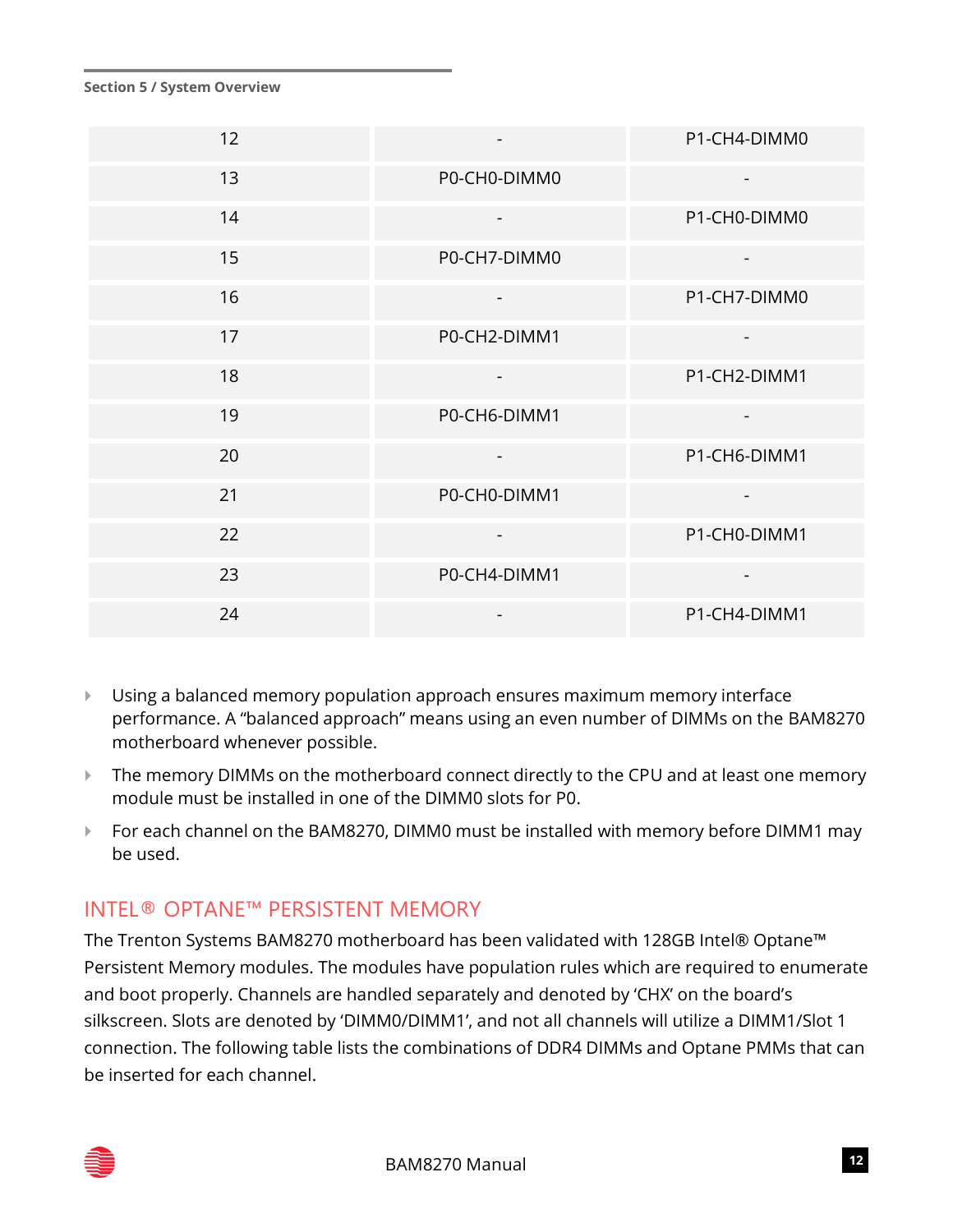| 12 |              | P1-CH4-DIMM0             |
|----|--------------|--------------------------|
| 13 | P0-CH0-DIMM0 | $\blacksquare$           |
| 14 |              | P1-CH0-DIMM0             |
| 15 | P0-CH7-DIMM0 |                          |
| 16 |              | P1-CH7-DIMM0             |
| 17 | P0-CH2-DIMM1 |                          |
| 18 |              | P1-CH2-DIMM1             |
| 19 | P0-CH6-DIMM1 | $\overline{\phantom{a}}$ |
| 20 |              | P1-CH6-DIMM1             |
| 21 | P0-CH0-DIMM1 | $\overline{a}$           |
| 22 |              | P1-CH0-DIMM1             |
| 23 | P0-CH4-DIMM1 | $\overline{\phantom{0}}$ |
| 24 |              | P1-CH4-DIMM1             |

- Using a balanced memory population approach ensures maximum memory interface performance. A "balanced approach" means using an even number of DIMMs on the BAM8270 motherboard whenever possible.
- The memory DIMMs on the motherboard connect directly to the CPU and at least one memory module must be installed in one of the DIMM0 slots for P0.
- ▶ For each channel on the BAM8270, DIMM0 must be installed with memory before DIMM1 may be used.

## INTEL® OPTANE™ PERSISTENT MEMORY

The Trenton Systems BAM8270 motherboard has been validated with 128GB Intel® Optane™ Persistent Memory modules. The modules have population rules which are required to enumerate and boot properly. Channels are handled separately and denoted by 'CHX' on the board's silkscreen. Slots are denoted by 'DIMM0/DIMM1', and not all channels will utilize a DIMM1/Slot 1 connection. The following table lists the combinations of DDR4 DIMMs and Optane PMMs that can be inserted for each channel.

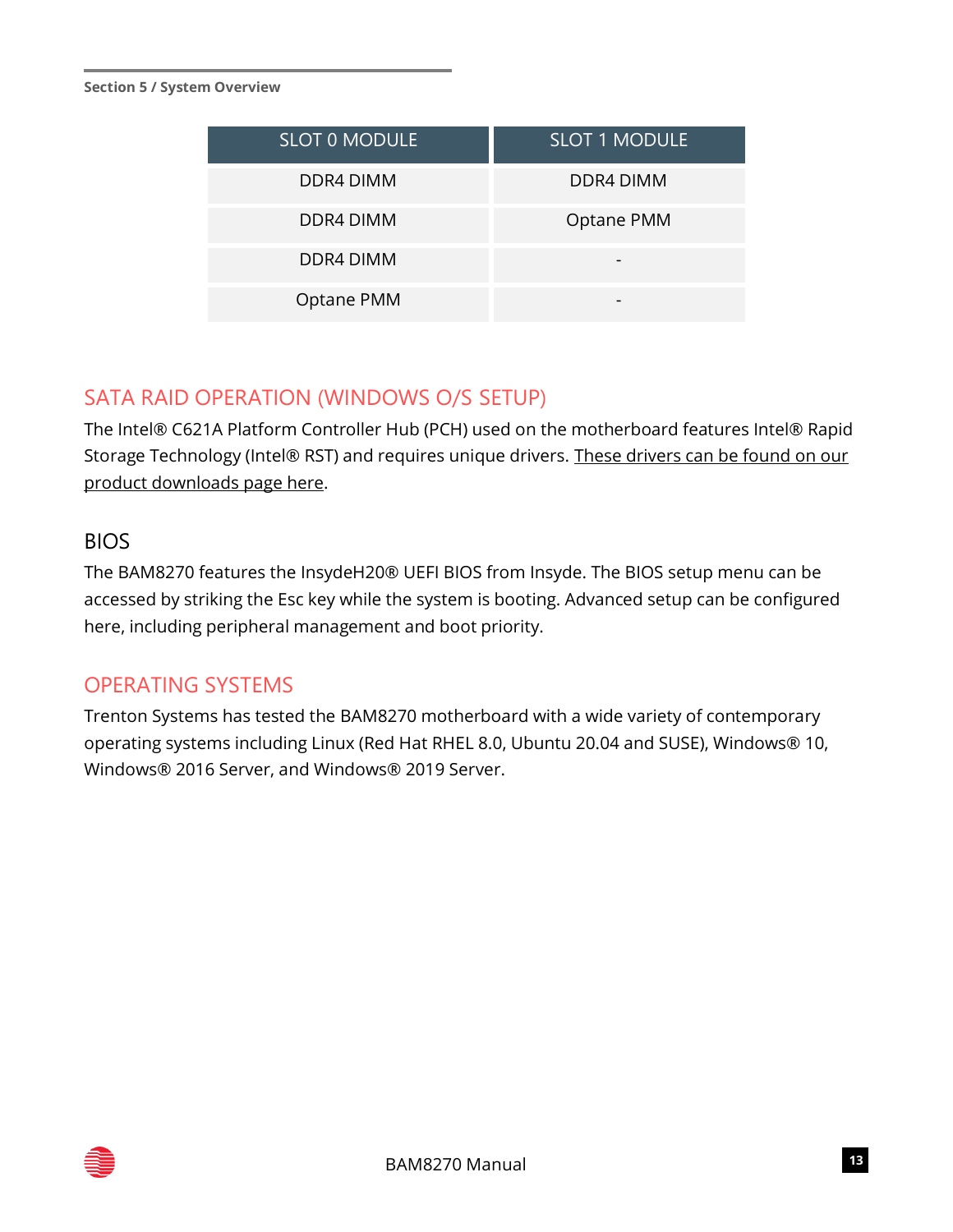| <b>SLOT 0 MODULE</b> | <b>SLOT 1 MODULE</b> |
|----------------------|----------------------|
| DDR4 DIMM            | DDR4 DIMM            |
| DDR4 DIMM            | Optane PMM           |
| DDR4 DIMM            |                      |
| Optane PMM           |                      |

## SATA RAID OPERATION (WINDOWS O/S SETUP)

The Intel® C621A Platform Controller Hub (PCH) used on the motherboard features Intel® Rapid Storage Technology (Intel® RST) and requires unique drivers. These drivers can be found on our [product downloads page here.](https://www.trentonsystems.com/support/product-downloads)

#### BIOS

The BAM8270 features the InsydeH20® UEFI BIOS from Insyde. The BIOS setup menu can be accessed by striking the Esc key while the system is booting. Advanced setup can be configured here, including peripheral management and boot priority.

#### OPERATING SYSTEMS

Trenton Systems has tested the BAM8270 motherboard with a wide variety of contemporary operating systems including Linux (Red Hat RHEL 8.0, Ubuntu 20.04 and SUSE), Windows® 10, Windows® 2016 Server, and Windows® 2019 Server.

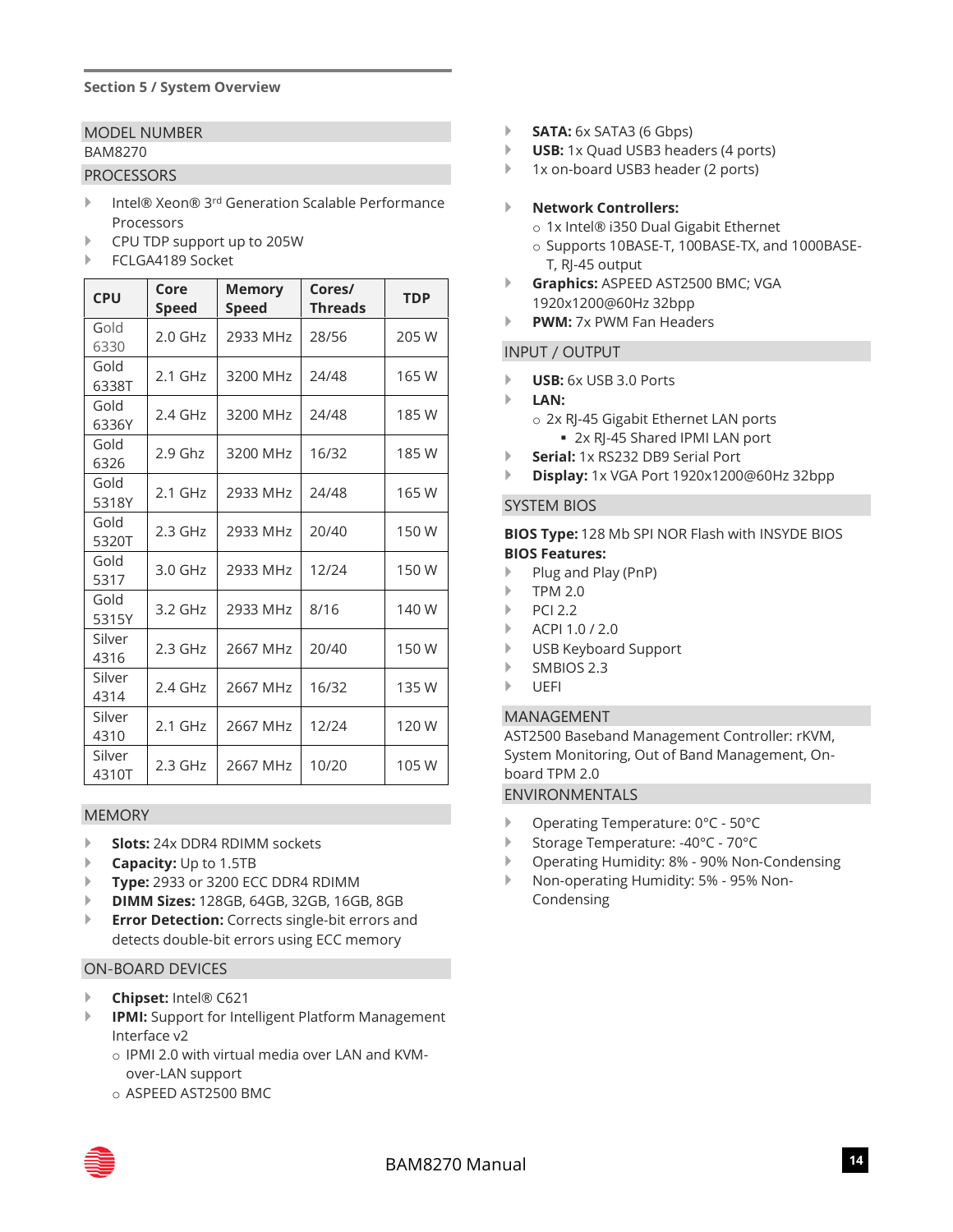#### MODEL NUMBER BAM8270

#### PROCESSORS

- ▶ Intel® Xeon® 3<sup>rd</sup> Generation Scalable Performance Processors
- CPU TDP support up to 205W
- FCLGA4189 Socket

| <b>CPU</b>      | Core<br><b>Speed</b> | <b>Memory</b><br><b>Speed</b> | Cores/<br><b>Threads</b> | <b>TDP</b> |
|-----------------|----------------------|-------------------------------|--------------------------|------------|
| Gold<br>6330    | 2.0 GHz              | 2933 MHz                      | 28/56                    | 205 W      |
| Gold<br>6338T   | $2.1$ GHz            | 3200 MHz                      | 24/48                    | 165 W      |
| Gold<br>6336Y   | $2.4$ GHz            | 3200 MHz                      | 24/48                    | 185 W      |
| Gold<br>6326    | $2.9$ Ghz            | 3200 MHz                      | 16/32                    | 185 W      |
| Gold<br>5318Y   | $2.1$ GHz            | 2933 MHz                      | 24/48                    | 165W       |
| Gold<br>5320T   | $2.3$ GHz            | 2933 MHz                      | 20/40                    | 150W       |
| Gold<br>5317    | 3.0 GHz              | 2933 MHz                      | 12/24                    | 150W       |
| Gold<br>5315Y   | 3.2 GHz              | 2933 MHz                      | 8/16                     | 140 W      |
| Silver<br>4316  | $2.3$ GHz            | 2667 MHz                      | 20/40                    | 150W       |
| Silver<br>4314  | 2.4 GHz              | 2667 MHz                      | 16/32                    | 135W       |
| Silver<br>4310  | $2.1$ GHz            | 2667 MHz                      | 12/24                    | 120W       |
| Silver<br>4310T | $2.3$ GHz            | 2667 MHz                      | 10/20                    | 105W       |

#### MEMORY

- **Slots:** 24x DDR4 RDIMM sockets
- **Capacity:** Up to 1.5TB
- **Type:** 2933 or 3200 ECC DDR4 RDIMM
- **DIMM Sizes:** 128GB, 64GB, 32GB, 16GB, 8GB
- **Error Detection:** Corrects single-bit errors and detects double-bit errors using ECC memory

#### ON-BOARD DEVICES

- **Chipset:** Intel® C621
- **IPMI:** Support for Intelligent Platform Management Interface v2
	- o IPMI 2.0 with virtual media over LAN and KVMover-LAN support
	- o ASPEED AST2500 BMC
- **SATA:**  $6x$  SATA3 (6 Gbps)
- **USB:** 1x Quad USB3 headers (4 ports)
- ▶ 1x on-board USB3 header (2 ports)

#### **Network Controllers:**

- o 1x Intel® i350 Dual Gigabit Ethernet
- o Supports 10BASE-T, 100BASE-TX, and 1000BASE-T, RJ-45 output
- **Graphics:** ASPEED AST2500 BMC; VGA 1920x1200@60Hz 32bpp
- **PWM:** 7x PWM Fan Headers

#### INPUT / OUTPUT

- **USB:** 6x USB 3.0 Ports
- **LAN:**
	- o 2x RJ-45 Gigabit Ethernet LAN ports ■ 2x RJ-45 Shared IPMI LAN port
- **Serial:** 1x RS232 DB9 Serial Port
- **Display:** 1x VGA Port 1920x1200@60Hz 32bpp

#### SYSTEM BIOS

**BIOS Type:** 128 Mb SPI NOR Flash with INSYDE BIOS **BIOS Features:**

- Plug and Play (PnP)
- $\blacktriangleright$  TPM 2.0
- $\blacktriangleright$  PCI 2.2
- ACPI 1.0 / 2.0
- USB Keyboard Support
- SMBIOS 2.3
- UEFI

#### MANAGEMENT

AST2500 Baseband Management Controller: rKVM, System Monitoring, Out of Band Management, Onboard TPM 2.0 ENVIRONMENTALS

- Operating Temperature: 0°C 50°C
- ▶ Storage Temperature: -40°C 70°C
- ▶ Operating Humidity: 8% 90% Non-Condensing
- Non-operating Humidity: 5% 95% Non-Condensing

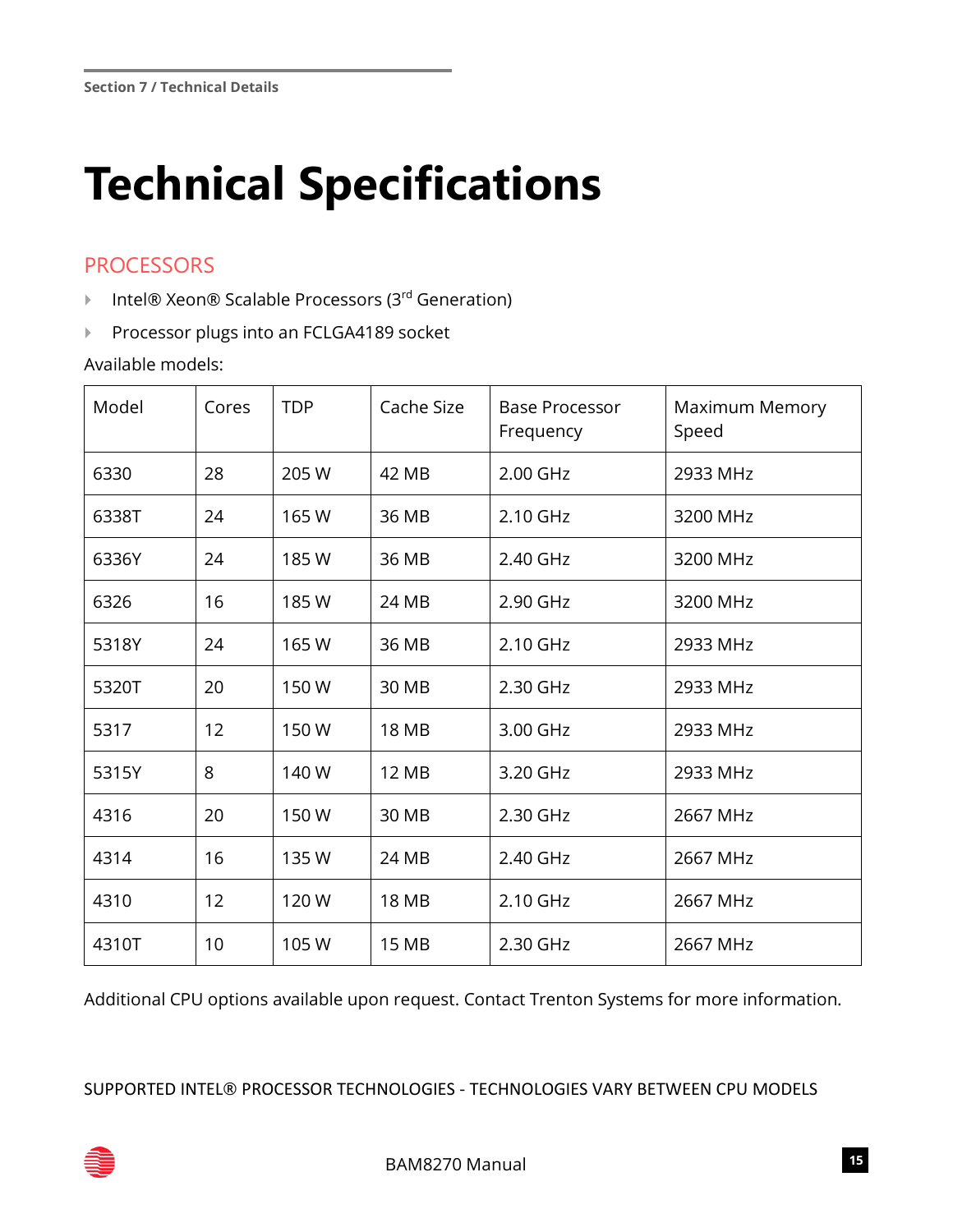## <span id="page-15-0"></span>**Technical Specifications**

## **PROCESSORS**

- ▶ Intel® Xeon® Scalable Processors (3<sup>rd</sup> Generation)
- Processor plugs into an FCLGA4189 socket

Available models:

| Model | Cores | <b>TDP</b> | Cache Size   | <b>Base Processor</b><br>Frequency | Maximum Memory<br>Speed |
|-------|-------|------------|--------------|------------------------------------|-------------------------|
| 6330  | 28    | 205 W      | 42 MB        | 2.00 GHz                           | 2933 MHz                |
| 6338T | 24    | 165W       | 36 MB        | 2.10 GHz                           | 3200 MHz                |
| 6336Y | 24    | 185W       | 36 MB        | 2.40 GHz                           | 3200 MHz                |
| 6326  | 16    | 185W       | 24 MB        | 2.90 GHz                           | 3200 MHz                |
| 5318Y | 24    | 165W       | 36 MB        | 2.10 GHz                           | 2933 MHz                |
| 5320T | 20    | 150W       | 30 MB        | 2.30 GHz                           | 2933 MHz                |
| 5317  | 12    | 150W       | 18 MB        | 3.00 GHz                           | 2933 MHz                |
| 5315Y | 8     | 140 W      | <b>12 MB</b> | 3.20 GHz                           | 2933 MHz                |
| 4316  | 20    | 150W       | 30 MB        | 2.30 GHz                           | 2667 MHz                |
| 4314  | 16    | 135W       | 24 MB        | 2.40 GHz                           | 2667 MHz                |
| 4310  | 12    | 120W       | 18 MB        | 2.10 GHz                           | 2667 MHz                |
| 4310T | 10    | 105W       | 15 MB        | 2.30 GHz                           | 2667 MHz                |

Additional CPU options available upon request. Contact Trenton Systems for more information.

SUPPORTED INTEL® PROCESSOR TECHNOLOGIES - TECHNOLOGIES VARY BETWEEN CPU MODELS

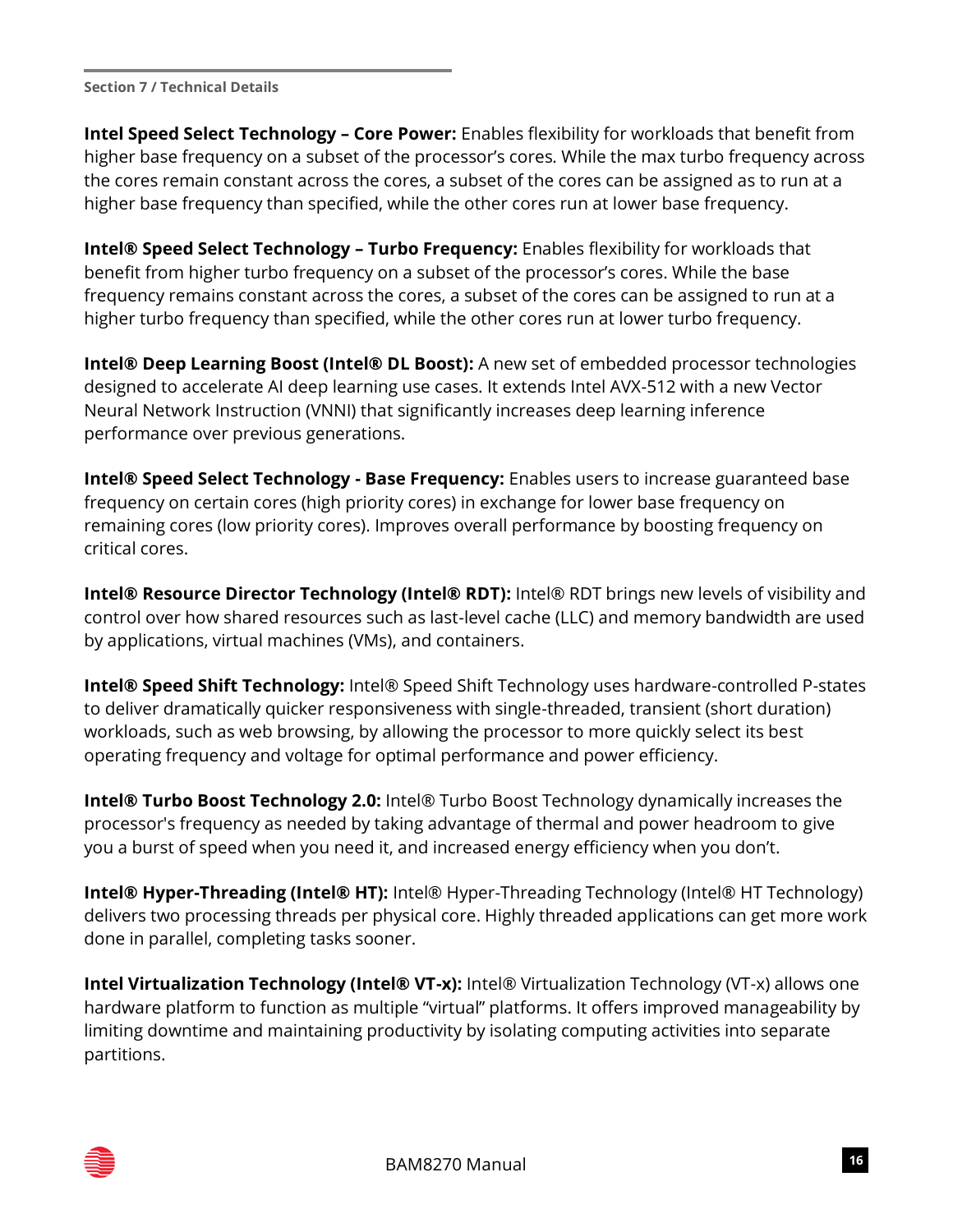**Intel Speed Select Technology – Core Power:** Enables flexibility for workloads that benefit from higher base frequency on a subset of the processor's cores. While the max turbo frequency across the cores remain constant across the cores, a subset of the cores can be assigned as to run at a higher base frequency than specified, while the other cores run at lower base frequency.

**Intel® Speed Select Technology – Turbo Frequency:** Enables flexibility for workloads that benefit from higher turbo frequency on a subset of the processor's cores. While the base frequency remains constant across the cores, a subset of the cores can be assigned to run at a higher turbo frequency than specified, while the other cores run at lower turbo frequency.

**Intel® Deep Learning Boost (Intel® DL Boost):** A new set of embedded processor technologies designed to accelerate AI deep learning use cases. It extends Intel AVX-512 with a new Vector Neural Network Instruction (VNNI) that significantly increases deep learning inference performance over previous generations.

**Intel® Speed Select Technology - Base Frequency:** Enables users to increase guaranteed base frequency on certain cores (high priority cores) in exchange for lower base frequency on remaining cores (low priority cores). Improves overall performance by boosting frequency on critical cores.

**Intel® Resource Director Technology (Intel® RDT):** Intel® RDT brings new levels of visibility and control over how shared resources such as last-level cache (LLC) and memory bandwidth are used by applications, virtual machines (VMs), and containers.

**Intel® Speed Shift Technology:** Intel® Speed Shift Technology uses hardware-controlled P-states to deliver dramatically quicker responsiveness with single-threaded, transient (short duration) workloads, such as web browsing, by allowing the processor to more quickly select its best operating frequency and voltage for optimal performance and power efficiency.

**Intel® Turbo Boost Technology 2.0:** Intel® Turbo Boost Technology dynamically increases the processor's frequency as needed by taking advantage of thermal and power headroom to give you a burst of speed when you need it, and increased energy efficiency when you don't.

**Intel® Hyper-Threading (Intel® HT):** Intel® Hyper-Threading Technology (Intel® HT Technology) delivers two processing threads per physical core. Highly threaded applications can get more work done in parallel, completing tasks sooner.

**Intel Virtualization Technology (Intel® VT-x):** Intel® Virtualization Technology (VT-x) allows one hardware platform to function as multiple "virtual" platforms. It offers improved manageability by limiting downtime and maintaining productivity by isolating computing activities into separate partitions.

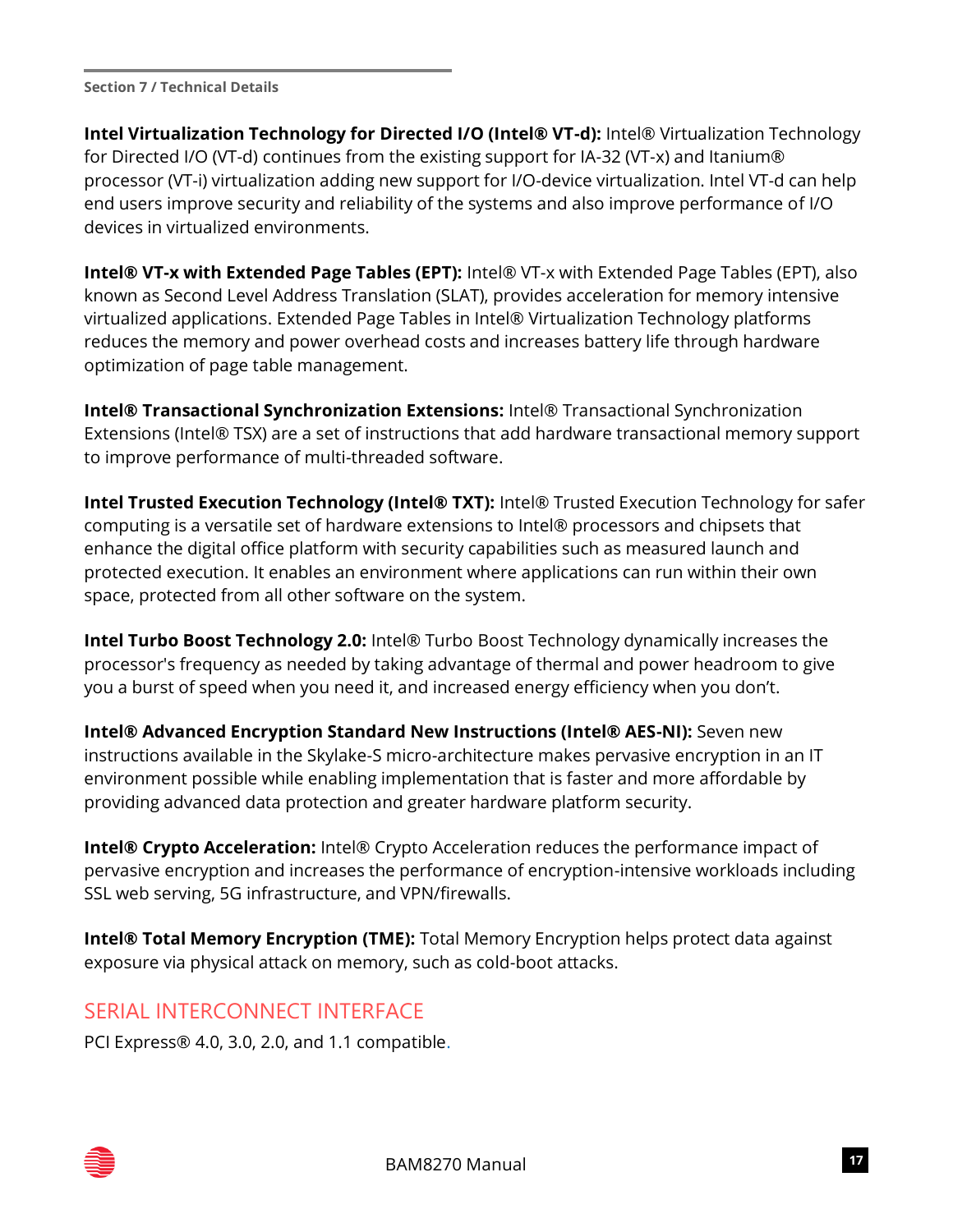**Intel Virtualization Technology for Directed I/O (Intel® VT-d):** Intel® Virtualization Technology for Directed I/O (VT-d) continues from the existing support for IA-32 (VT-x) and Itanium® processor (VT-i) virtualization adding new support for I/O-device virtualization. Intel VT-d can help end users improve security and reliability of the systems and also improve performance of I/O devices in virtualized environments.

**Intel® VT-x with Extended Page Tables (EPT):** Intel® VT-x with Extended Page Tables (EPT), also known as Second Level Address Translation (SLAT), provides acceleration for memory intensive virtualized applications. Extended Page Tables in Intel® Virtualization Technology platforms reduces the memory and power overhead costs and increases battery life through hardware optimization of page table management.

**Intel® Transactional Synchronization Extensions:** Intel® Transactional Synchronization Extensions (Intel® TSX) are a set of instructions that add hardware transactional memory support to improve performance of multi-threaded software.

**Intel Trusted Execution Technology (Intel® TXT):** Intel® Trusted Execution Technology for safer computing is a versatile set of hardware extensions to Intel® processors and chipsets that enhance the digital office platform with security capabilities such as measured launch and protected execution. It enables an environment where applications can run within their own space, protected from all other software on the system.

**Intel Turbo Boost Technology 2.0:** Intel® Turbo Boost Technology dynamically increases the processor's frequency as needed by taking advantage of thermal and power headroom to give you a burst of speed when you need it, and increased energy efficiency when you don't.

**Intel® Advanced Encryption Standard New Instructions (Intel® AES-NI):** Seven new instructions available in the Skylake-S micro-architecture makes pervasive encryption in an IT environment possible while enabling implementation that is faster and more affordable by providing advanced data protection and greater hardware platform security.

**Intel® Crypto Acceleration:** Intel® Crypto Acceleration reduces the performance impact of pervasive encryption and increases the performance of encryption-intensive workloads including SSL web serving, 5G infrastructure, and VPN/firewalls.

**Intel® Total Memory Encryption (TME):** Total Memory Encryption helps protect data against exposure via physical attack on memory, such as cold-boot attacks.

## SERIAL INTERCONNECT INTERFACE

PCI Express® 4.0, 3.0, 2.0, and 1.1 compatible.

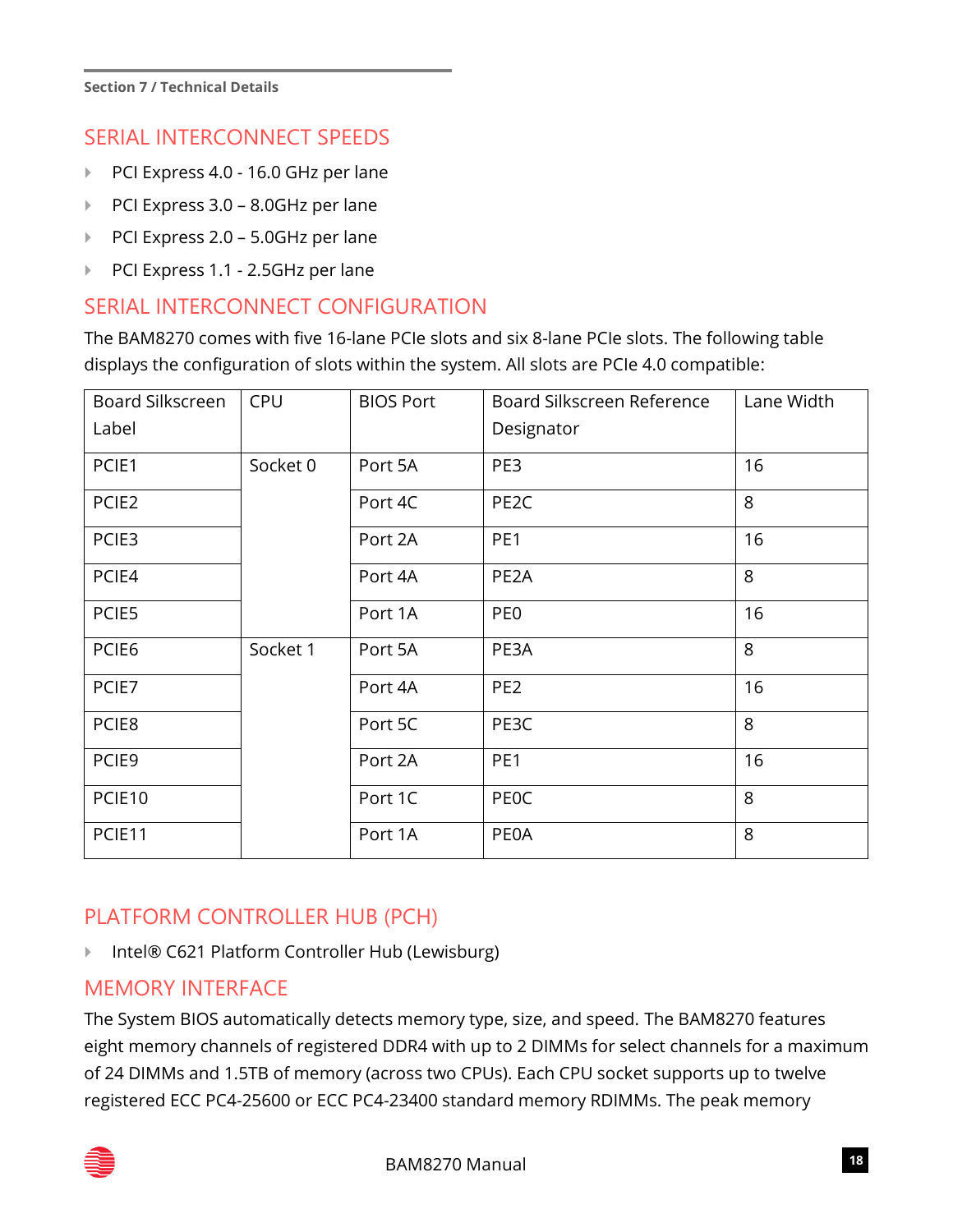## SERIAL INTERCONNECT SPEEDS

- PCI Express 4.0 16.0 GHz per lane
- ▶ PCI Express 3.0 8.0GHz per lane
- ▶ PCI Express 2.0 5.0GHz per lane
- PCI Express 1.1 2.5GHz per lane

#### SERIAL INTERCONNECT CONFIGURATION

The BAM8270 comes with five 16-lane PCIe slots and six 8-lane PCIe slots. The following table displays the configuration of slots within the system. All slots are PCIe 4.0 compatible:

| Board Silkscreen  | <b>CPU</b> | <b>BIOS Port</b> | Board Silkscreen Reference | Lane Width |
|-------------------|------------|------------------|----------------------------|------------|
| Label             |            |                  | Designator                 |            |
| PCIE1             | Socket 0   | Port 5A          | PE3                        | 16         |
| PCIE <sub>2</sub> |            | Port 4C          | PE <sub>2</sub> C          | 8          |
| PCIE3             |            | Port 2A          | PE <sub>1</sub>            | 16         |
| PCIE4             |            | Port 4A          | PE <sub>2</sub> A          | 8          |
| PCIE5             |            | Port 1A          | PE <sub>0</sub>            | 16         |
| PCIE6             | Socket 1   | Port 5A          | PE3A                       | 8          |
| PCIE7             |            | Port 4A          | PE <sub>2</sub>            | 16         |
| PCIE8             |            | Port 5C          | PE3C                       | 8          |
| PCIE9             |            | Port 2A          | PE1                        | 16         |
| PCIE10            |            | Port 1C          | <b>PEOC</b>                | 8          |
| PCIE11            |            | Port 1A          | <b>PEOA</b>                | 8          |

## PLATFORM CONTROLLER HUB (PCH)

▶ Intel® C621 Platform Controller Hub (Lewisburg)

#### MEMORY INTERFACE

The System BIOS automatically detects memory type, size, and speed. The BAM8270 features eight memory channels of registered DDR4 with up to 2 DIMMs for select channels for a maximum of 24 DIMMs and 1.5TB of memory (across two CPUs). Each CPU socket supports up to twelve registered ECC PC4-25600 or ECC PC4-23400 standard memory RDIMMs. The peak memory

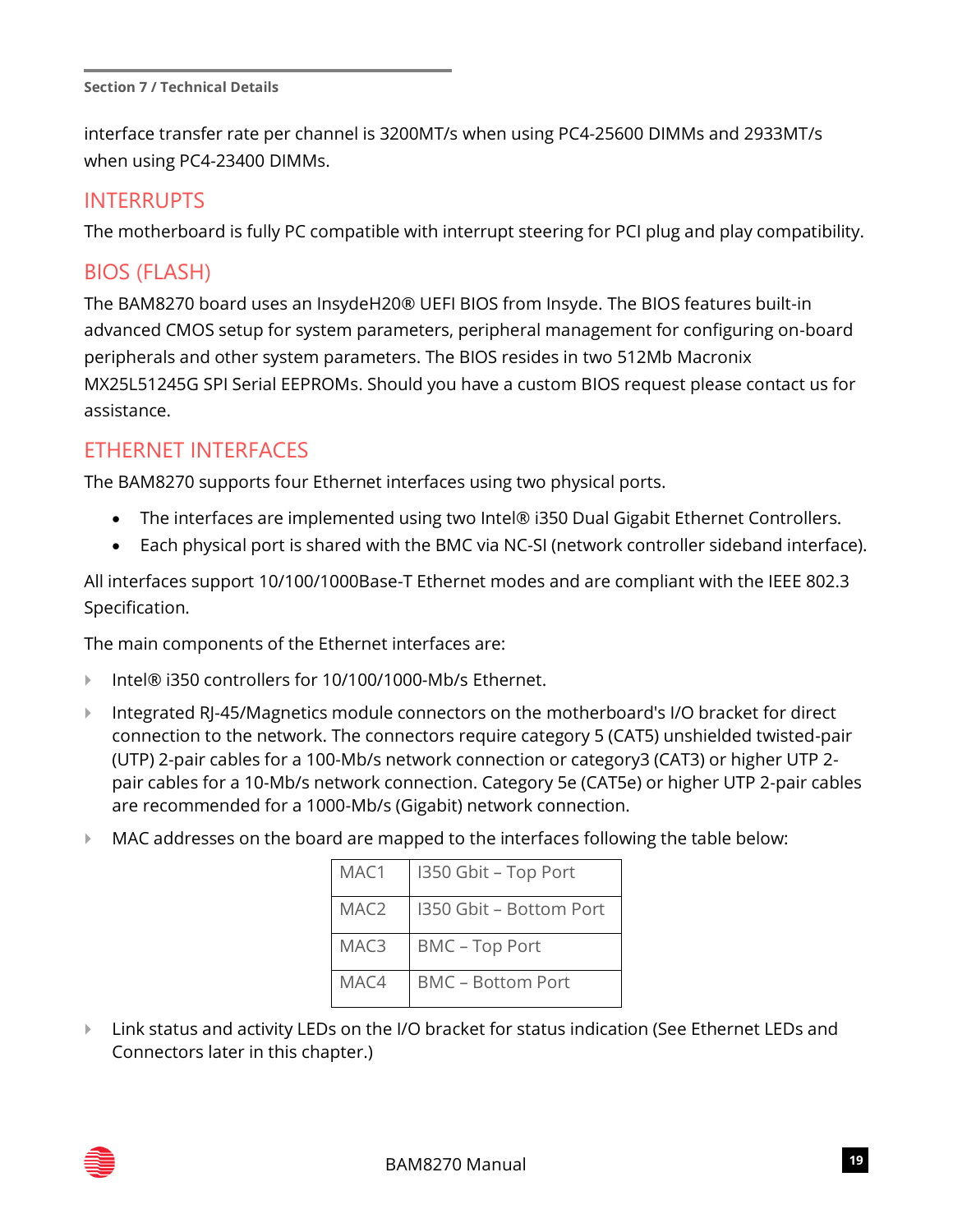interface transfer rate per channel is 3200MT/s when using PC4-25600 DIMMs and 2933MT/s when using PC4-23400 DIMMs.

#### INTERRUPTS

The motherboard is fully PC compatible with interrupt steering for PCI plug and play compatibility.

## BIOS (FLASH)

The BAM8270 board uses an InsydeH20® UEFI BIOS from Insyde. The BIOS features built-in advanced CMOS setup for system parameters, peripheral management for configuring on-board peripherals and other system parameters. The BIOS resides in two 512Mb Macronix MX25L51245G SPI Serial EEPROMs. Should you have a custom BIOS request please contact us for assistance.

#### ETHERNET INTERFACES

The BAM8270 supports four Ethernet interfaces using two physical ports.

- The interfaces are implemented using two Intel® i350 Dual Gigabit Ethernet Controllers.
- Each physical port is shared with the BMC via NC-SI (network controller sideband interface).

All interfaces support 10/100/1000Base-T Ethernet modes and are compliant with the IEEE 802.3 Specification.

The main components of the Ethernet interfaces are:

- Intel® i350 controllers for 10/100/1000-Mb/s Ethernet.
- Integrated RJ-45/Magnetics module connectors on the motherboard's I/O bracket for direct connection to the network. The connectors require category 5 (CAT5) unshielded twisted-pair (UTP) 2-pair cables for a 100-Mb/s network connection or category3 (CAT3) or higher UTP 2 pair cables for a 10-Mb/s network connection. Category 5e (CAT5e) or higher UTP 2-pair cables are recommended for a 1000-Mb/s (Gigabit) network connection.
- MAC addresses on the board are mapped to the interfaces following the table below:

| MAC1 | I350 Gbit - Top Port     |
|------|--------------------------|
| MAC2 | I350 Gbit - Bottom Port  |
| MAC3 | <b>BMC - Top Port</b>    |
| MAC4 | <b>BMC - Bottom Port</b> |

**EXTED** Link status and activity LEDs on the I/O bracket for status indication (See Ethernet LEDs and Connectors later in this chapter.)

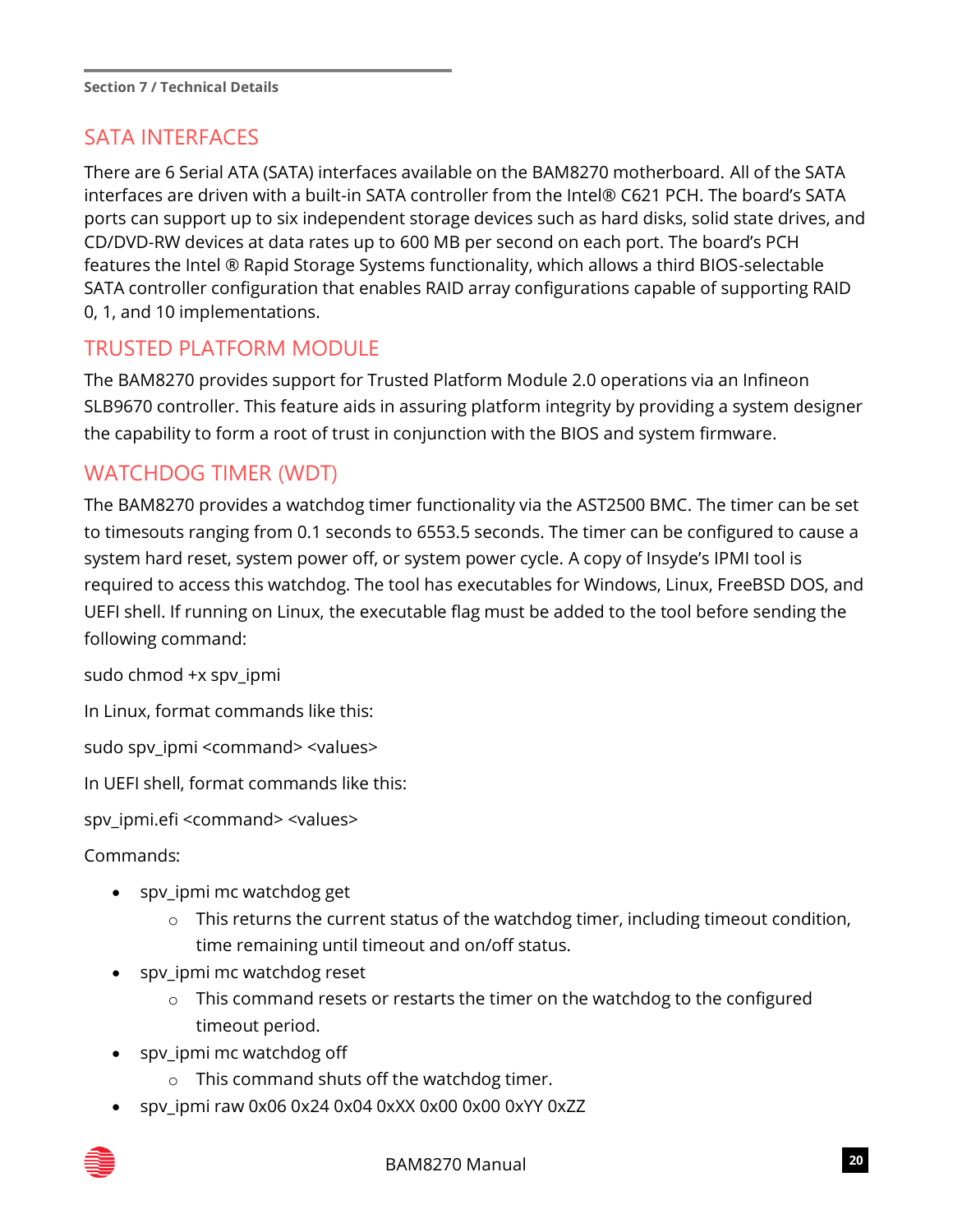## SATA INTERFACES

There are 6 Serial ATA (SATA) interfaces available on the BAM8270 motherboard. All of the SATA interfaces are driven with a built-in SATA controller from the Intel® C621 PCH. The board's SATA ports can support up to six independent storage devices such as hard disks, solid state drives, and CD/DVD-RW devices at data rates up to 600 MB per second on each port. The board's PCH features the Intel ® Rapid Storage Systems functionality, which allows a third BIOS-selectable SATA controller configuration that enables RAID array configurations capable of supporting RAID 0, 1, and 10 implementations.

## TRUSTED PLATFORM MODULE

The BAM8270 provides support for Trusted Platform Module 2.0 operations via an Infineon SLB9670 controller. This feature aids in assuring platform integrity by providing a system designer the capability to form a root of trust in conjunction with the BIOS and system firmware.

## WATCHDOG TIMER (WDT)

The BAM8270 provides a watchdog timer functionality via the AST2500 BMC. The timer can be set to timesouts ranging from 0.1 seconds to 6553.5 seconds. The timer can be configured to cause a system hard reset, system power off, or system power cycle. A copy of Insyde's IPMI tool is required to access this watchdog. The tool has executables for Windows, Linux, FreeBSD DOS, and UEFI shell. If running on Linux, the executable flag must be added to the tool before sending the following command:

sudo chmod +x spv\_ipmi

In Linux, format commands like this:

sudo spv\_ipmi <command> <values>

In UEFI shell, format commands like this:

spv\_ipmi.efi <command> <values>

Commands:

- spv\_ipmi mc watchdog get
	- o This returns the current status of the watchdog timer, including timeout condition, time remaining until timeout and on/off status.
- spv\_ipmi mc watchdog reset
	- o This command resets or restarts the timer on the watchdog to the configured timeout period.
- spv\_ipmi mc watchdog off
	- o This command shuts off the watchdog timer.
- spv\_ipmi raw 0x06 0x24 0x04 0xXX 0x00 0x00 0xYY 0xZZ

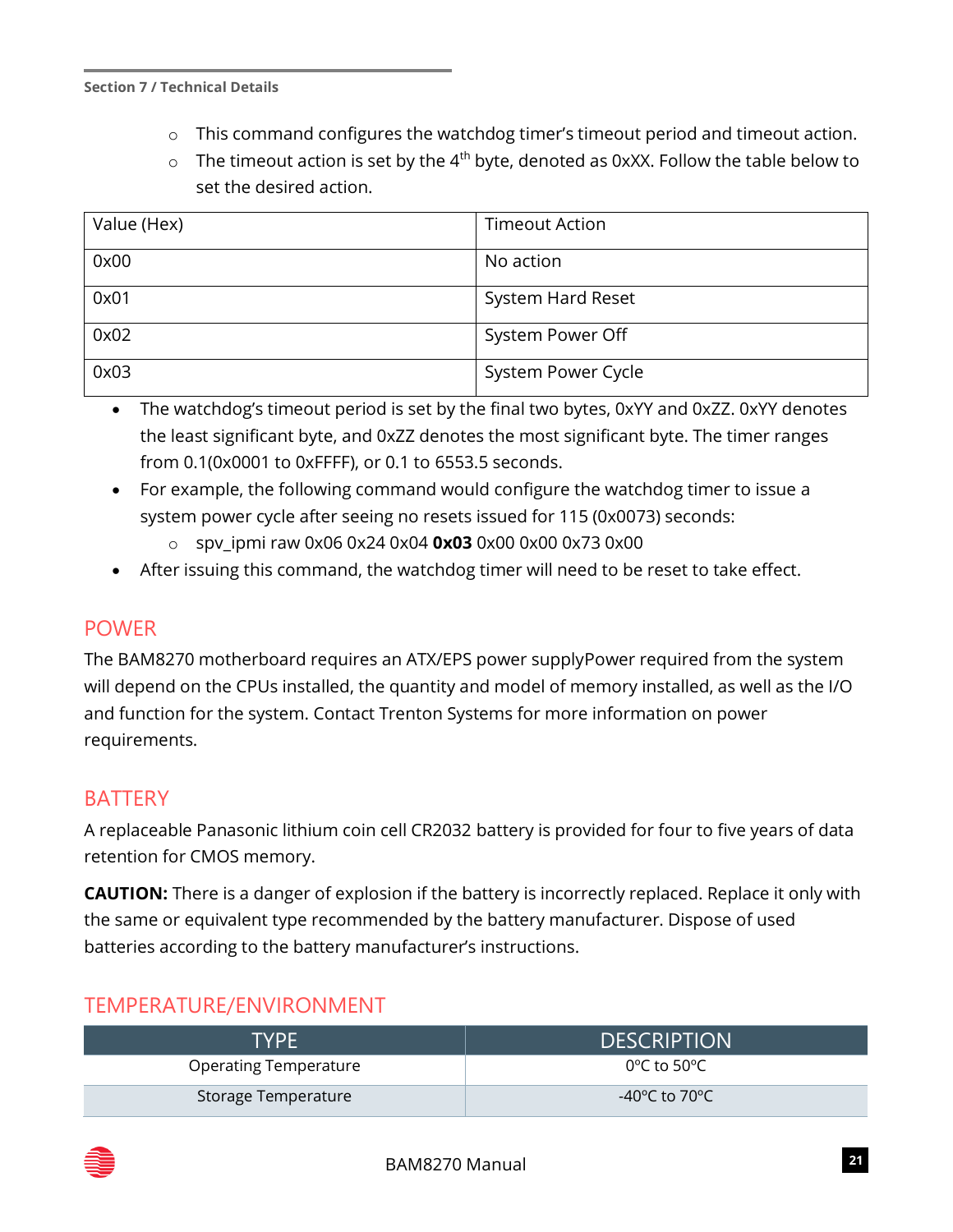- o This command configures the watchdog timer's timeout period and timeout action.
- $\circ$  The timeout action is set by the 4<sup>th</sup> byte, denoted as 0xXX. Follow the table below to set the desired action.

| Value (Hex) | <b>Timeout Action</b> |
|-------------|-----------------------|
| 0x00        | No action             |
| 0x01        | System Hard Reset     |
| 0x02        | System Power Off      |
| 0x03        | System Power Cycle    |

- The watchdog's timeout period is set by the final two bytes, 0xYY and 0xZZ. 0xYY denotes the least significant byte, and 0xZZ denotes the most significant byte. The timer ranges from 0.1(0x0001 to 0xFFFF), or 0.1 to 6553.5 seconds.
- For example, the following command would configure the watchdog timer to issue a system power cycle after seeing no resets issued for 115 (0x0073) seconds:
	- o spv\_ipmi raw 0x06 0x24 0x04 **0x03** 0x00 0x00 0x73 0x00
- After issuing this command, the watchdog timer will need to be reset to take effect.

#### POWER

The BAM8270 motherboard requires an ATX/EPS power supplyPower required from the system will depend on the CPUs installed, the quantity and model of memory installed, as well as the I/O and function for the system. Contact Trenton Systems for more information on power requirements.

#### **BATTERY**

A replaceable Panasonic lithium coin cell CR2032 battery is provided for four to five years of data retention for CMOS memory.

**CAUTION:** There is a danger of explosion if the battery is incorrectly replaced. Replace it only with the same or equivalent type recommended by the battery manufacturer. Dispose of used batteries according to the battery manufacturer's instructions.

#### TEMPERATURE/ENVIRONMENT

| <b>TYPE</b>                  | <b>DESCRIPTION</b>       |
|------------------------------|--------------------------|
| <b>Operating Temperature</b> | 0°C to 50°C $\,$         |
| Storage Temperature          | -40°C to 70°C $^{\circ}$ |

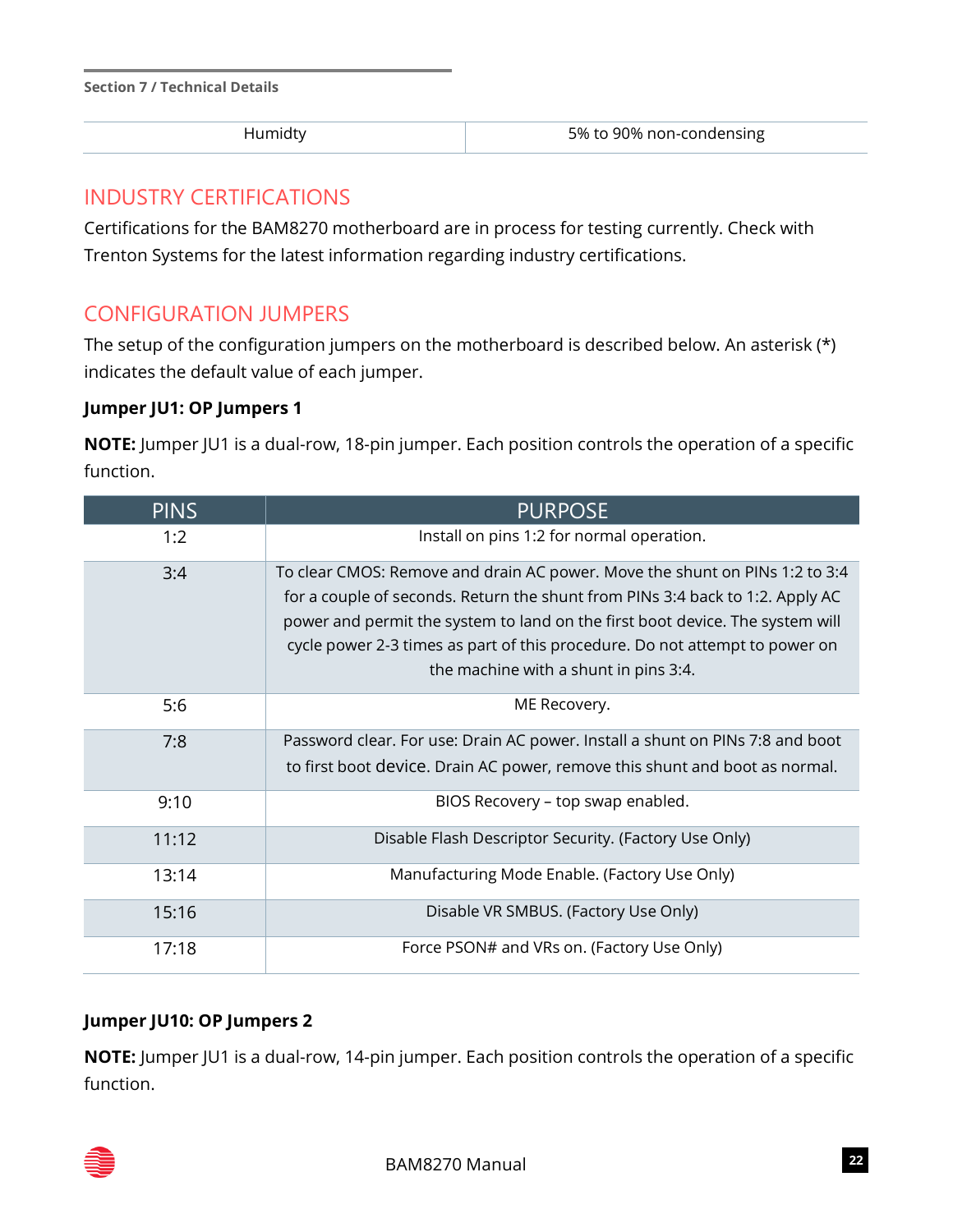| <b>Section 7 / Technical Details</b> |  |  |
|--------------------------------------|--|--|
|--------------------------------------|--|--|

| 5% to 90% non-condensing<br>Humidty |
|-------------------------------------|
|                                     |

#### INDUSTRY CERTIFICATIONS

Certifications for the BAM8270 motherboard are in process for testing currently. Check with Trenton Systems for the latest information regarding industry certifications.

## CONFIGURATION JUMPERS

The setup of the configuration jumpers on the motherboard is described below. An asterisk (\*) indicates the default value of each jumper.

#### **Jumper JU1: OP Jumpers 1**

**NOTE:** Jumper JU1 is a dual-row, 18-pin jumper. Each position controls the operation of a specific function.

| <b>PINS</b> | <b>PURPOSE</b>                                                                                                                                                                                                                                                                                                                                                        |
|-------------|-----------------------------------------------------------------------------------------------------------------------------------------------------------------------------------------------------------------------------------------------------------------------------------------------------------------------------------------------------------------------|
| 1:2         | Install on pins 1:2 for normal operation.                                                                                                                                                                                                                                                                                                                             |
| 3:4         | To clear CMOS: Remove and drain AC power. Move the shunt on PINs 1:2 to 3:4<br>for a couple of seconds. Return the shunt from PINs 3:4 back to 1:2. Apply AC<br>power and permit the system to land on the first boot device. The system will<br>cycle power 2-3 times as part of this procedure. Do not attempt to power on<br>the machine with a shunt in pins 3:4. |
| 5:6         | ME Recovery.                                                                                                                                                                                                                                                                                                                                                          |
| 7:8         | Password clear. For use: Drain AC power. Install a shunt on PINs 7:8 and boot<br>to first boot device. Drain AC power, remove this shunt and boot as normal.                                                                                                                                                                                                          |
| 9:10        | BIOS Recovery - top swap enabled.                                                                                                                                                                                                                                                                                                                                     |
| 11:12       | Disable Flash Descriptor Security. (Factory Use Only)                                                                                                                                                                                                                                                                                                                 |
| 13:14       | Manufacturing Mode Enable. (Factory Use Only)                                                                                                                                                                                                                                                                                                                         |
| 15:16       | Disable VR SMBUS. (Factory Use Only)                                                                                                                                                                                                                                                                                                                                  |
| 17:18       | Force PSON# and VRs on. (Factory Use Only)                                                                                                                                                                                                                                                                                                                            |

#### **Jumper JU10: OP Jumpers 2**

**NOTE:** Jumper JU1 is a dual-row, 14-pin jumper. Each position controls the operation of a specific function.

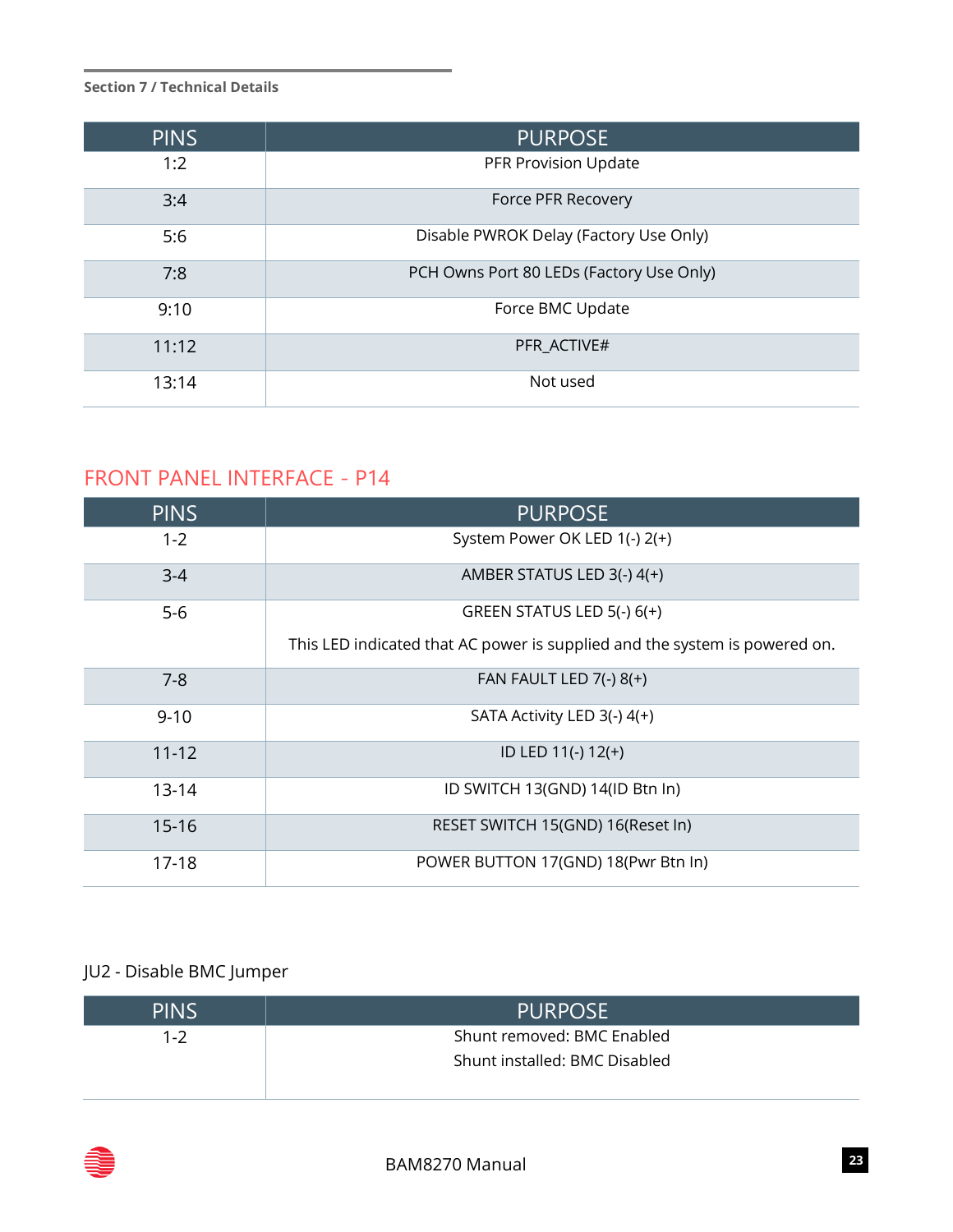| <b>PINS</b> | <b>PURPOSE</b>                           |
|-------------|------------------------------------------|
| 1:2         | PFR Provision Update                     |
| 3:4         | Force PFR Recovery                       |
| 5:6         | Disable PWROK Delay (Factory Use Only)   |
| 7:8         | PCH Owns Port 80 LEDs (Factory Use Only) |
| 9:10        | Force BMC Update                         |
| 11:12       | PFR ACTIVE#                              |
| 13:14       | Not used                                 |

## FRONT PANEL INTERFACE - P14

| <b>PINS</b> | <b>PURPOSE</b>                                                             |
|-------------|----------------------------------------------------------------------------|
| $1 - 2$     | System Power OK LED 1(-) 2(+)                                              |
| $3 - 4$     | AMBER STATUS LED 3(-) 4(+)                                                 |
| $5-6$       | GREEN STATUS LED 5(-) 6(+)                                                 |
|             | This LED indicated that AC power is supplied and the system is powered on. |
| $7 - 8$     | FAN FAULT LED $7(-)$ 8( $+$ )                                              |
| $9 - 10$    | SATA Activity LED 3(-) 4(+)                                                |
| $11 - 12$   | ID LED 11(-) 12(+)                                                         |
| $13 - 14$   | ID SWITCH 13(GND) 14(ID Btn In)                                            |
| $15 - 16$   | RESET SWITCH 15(GND) 16(Reset In)                                          |
| 17-18       | POWER BUTTON 17(GND) 18(Pwr Btn In)                                        |

## JU2 - Disable BMC Jumper

| <b>PINS</b> | <b>PURPOSE</b>                |
|-------------|-------------------------------|
| 1-2         | Shunt removed: BMC Enabled    |
|             | Shunt installed: BMC Disabled |
|             |                               |

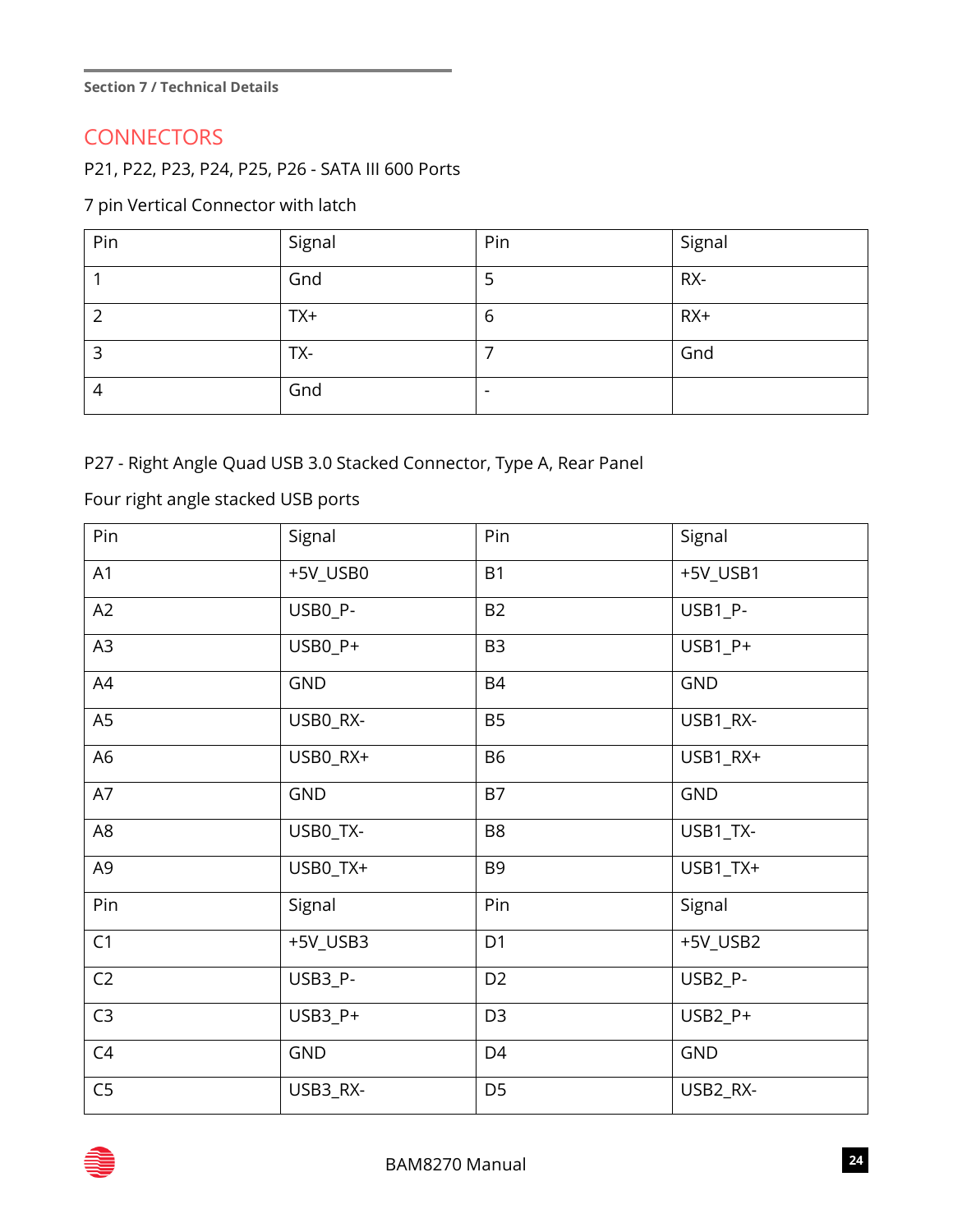#### **CONNECTORS**

P21, P22, P23, P24, P25, P26 - SATA III 600 Ports

#### 7 pin Vertical Connector with latch

| Pin | Signal | Pin                      | Signal |
|-----|--------|--------------------------|--------|
|     | Gnd    | 5                        | RX-    |
| ົ   | $TX+$  | 6                        | $RX+$  |
| 3   | TX-    | ⇁                        | Gnd    |
| 4   | Gnd    | $\overline{\phantom{a}}$ |        |

#### P27 - Right Angle Quad USB 3.0 Stacked Connector, Type A, Rear Panel

#### Four right angle stacked USB ports

| Pin            | Signal     | Pin            | Signal     |
|----------------|------------|----------------|------------|
| A1             | +5V_USB0   | <b>B1</b>      | +5V_USB1   |
| A2             | USB0_P-    | <b>B2</b>      | USB1_P-    |
| A <sub>3</sub> | USB0_P+    | B <sub>3</sub> | USB1_P+    |
| A4             | <b>GND</b> | <b>B4</b>      | <b>GND</b> |
| A <sub>5</sub> | USB0_RX-   | <b>B5</b>      | USB1_RX-   |
| A <sub>6</sub> | USB0_RX+   | <b>B6</b>      | USB1_RX+   |
| A7             | <b>GND</b> | <b>B7</b>      | <b>GND</b> |
| A <sub>8</sub> | USB0_TX-   | B <sub>8</sub> | USB1_TX-   |
| A <sub>9</sub> | USB0_TX+   | B <sub>9</sub> | USB1_TX+   |
| Pin            | Signal     | Pin            | Signal     |
| C1             | +5V_USB3   | D <sub>1</sub> | +5V_USB2   |
| C <sub>2</sub> | USB3_P-    | D <sub>2</sub> | USB2_P-    |
| C <sub>3</sub> | USB3_P+    | D <sub>3</sub> | USB2_P+    |
| C <sub>4</sub> | <b>GND</b> | D <sub>4</sub> | <b>GND</b> |
| C <sub>5</sub> | USB3_RX-   | D <sub>5</sub> | USB2_RX-   |

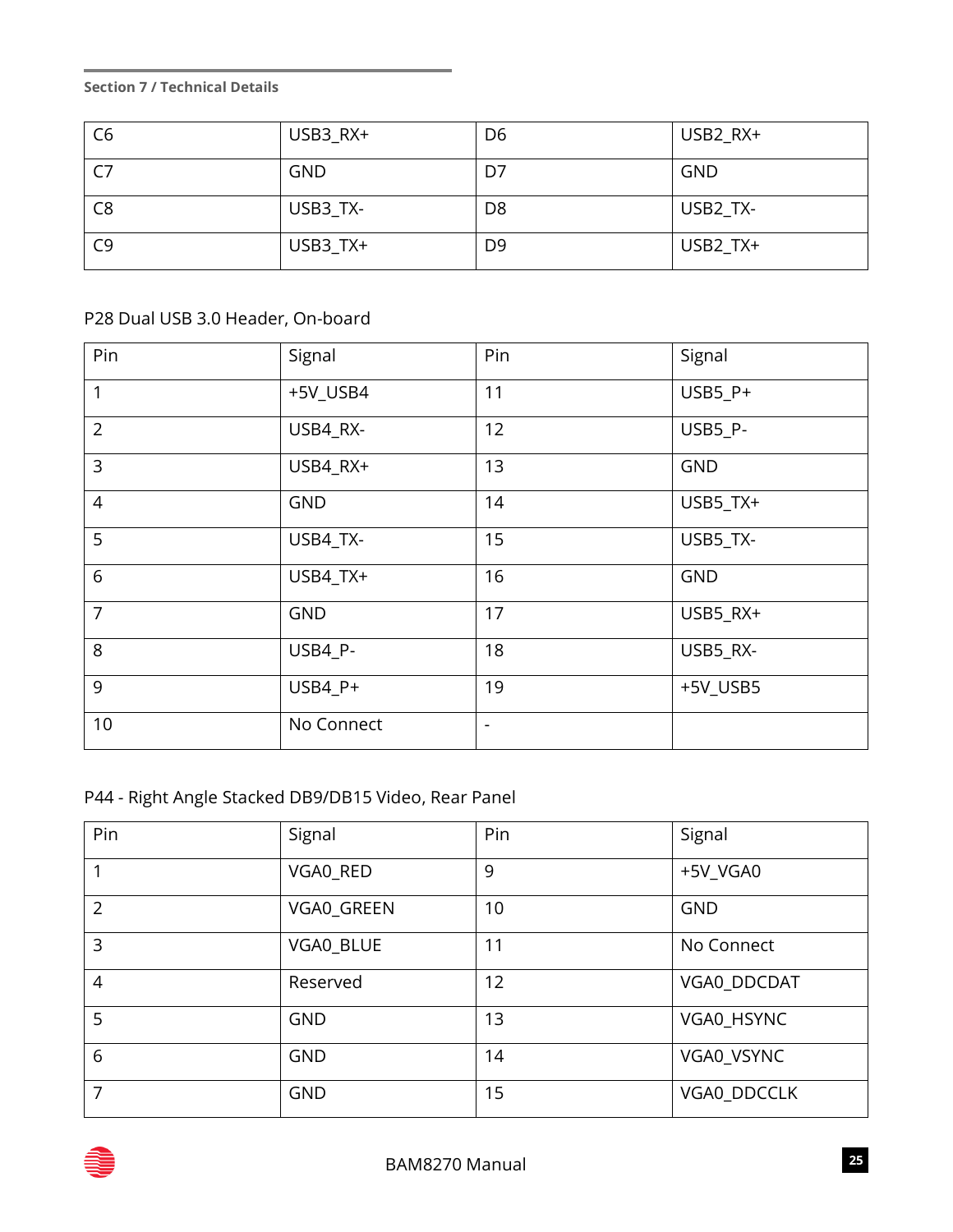| C <sub>6</sub> | USB3_RX+   | D <sub>6</sub> | USB2_RX+   |
|----------------|------------|----------------|------------|
| C <sub>7</sub> | <b>GND</b> | D7             | <b>GND</b> |
| C <sub>8</sub> | USB3_TX-   | D <sub>8</sub> | USB2_TX-   |
| C <sub>9</sub> | USB3_TX+   | D <sub>9</sub> | USB2_TX+   |

#### P28 Dual USB 3.0 Header, On-board

| Pin            | Signal     | Pin                      | Signal     |
|----------------|------------|--------------------------|------------|
| 1              | +5V_USB4   | 11                       | USB5_P+    |
| $\overline{2}$ | USB4_RX-   | 12                       | USB5_P-    |
| $\overline{3}$ | USB4_RX+   | 13                       | <b>GND</b> |
| $\overline{4}$ | <b>GND</b> | 14                       | USB5_TX+   |
| 5              | USB4_TX-   | 15                       | USB5_TX-   |
| 6              | USB4_TX+   | 16                       | <b>GND</b> |
| $\overline{7}$ | <b>GND</b> | 17                       | USB5_RX+   |
| 8              | USB4_P-    | 18                       | USB5_RX-   |
| 9              | USB4_P+    | 19                       | +5V_USB5   |
| 10             | No Connect | $\overline{\phantom{a}}$ |            |

### P44 - Right Angle Stacked DB9/DB15 Video, Rear Panel

| Pin            | Signal     | Pin | Signal      |
|----------------|------------|-----|-------------|
|                | VGA0_RED   | 9   | +5V_VGA0    |
| $\overline{2}$ | VGA0_GREEN | 10  | <b>GND</b>  |
| 3              | VGA0_BLUE  | 11  | No Connect  |
| $\overline{4}$ | Reserved   | 12  | VGA0_DDCDAT |
| 5              | <b>GND</b> | 13  | VGA0_HSYNC  |
| 6              | <b>GND</b> | 14  | VGA0_VSYNC  |
| 7              | <b>GND</b> | 15  | VGA0_DDCCLK |

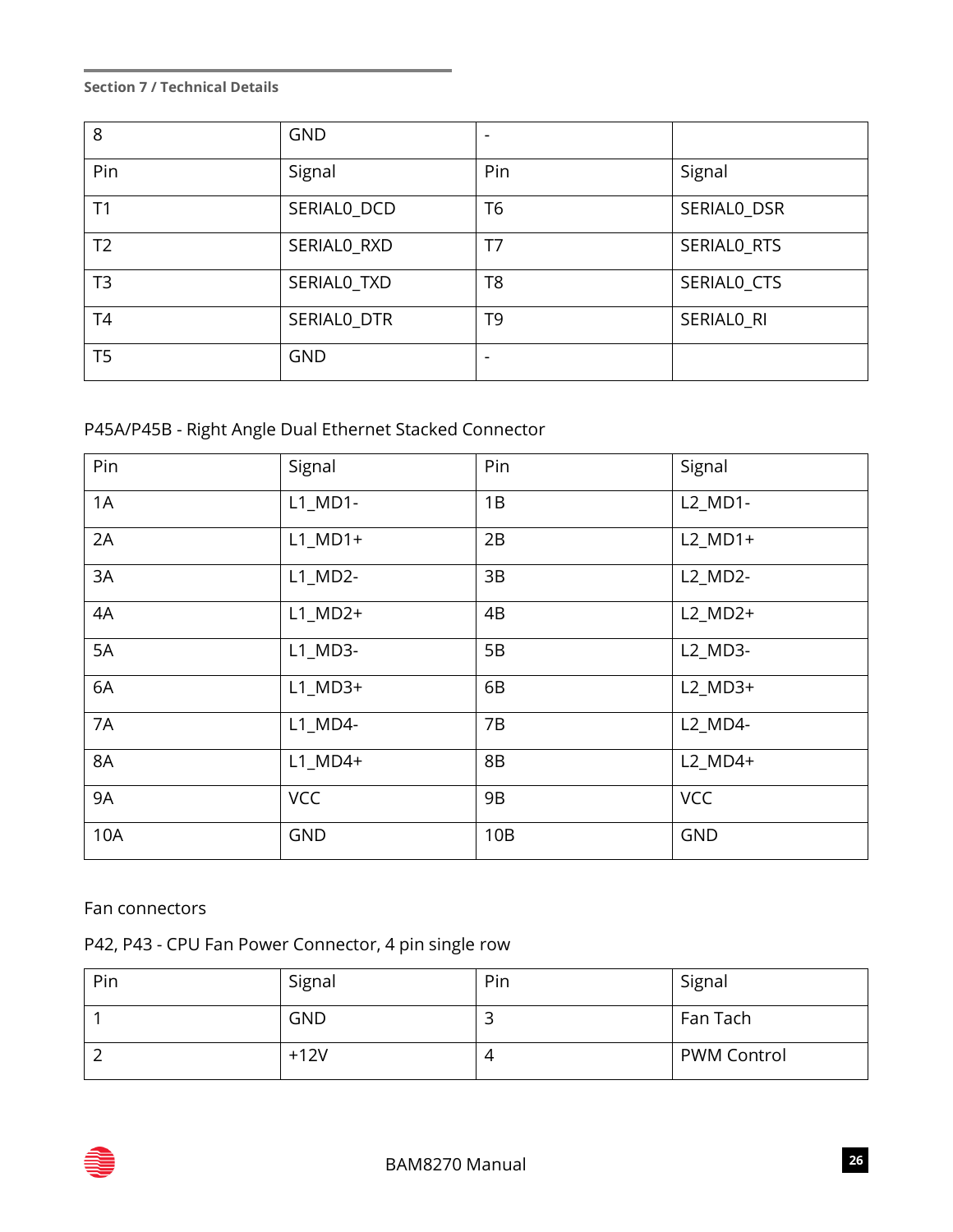| 8              | <b>GND</b>  | $\overline{\phantom{a}}$ |             |
|----------------|-------------|--------------------------|-------------|
| Pin            | Signal      | Pin                      | Signal      |
| T1             | SERIALO_DCD | T <sub>6</sub>           | SERIALO_DSR |
| T <sub>2</sub> | SERIALO_RXD | T <sub>7</sub>           | SERIALO_RTS |
| T <sub>3</sub> | SERIALO_TXD | T8                       | SERIALO_CTS |
| T <sub>4</sub> | SERIALO_DTR | T <sub>9</sub>           | SERIALO_RI  |
| T <sub>5</sub> | <b>GND</b>  | $\overline{\phantom{a}}$ |             |

#### P45A/P45B - Right Angle Dual Ethernet Stacked Connector

| Pin       | Signal                              | Pin | Signal     |
|-----------|-------------------------------------|-----|------------|
| 1A        | $L1$ <sub>_</sub> MD1-              | 1B  | L2_MD1-    |
| 2A        | $L1$ MD1+                           | 2B  | $L2$ MD1+  |
| 3A        | $L1$ <sub>-</sub> MD <sub>2</sub> - | 3B  | L2_MD2-    |
| 4A        | $L1$ MD2+                           | 4B  | $L2$ MD2+  |
| 5A        | $L1$ MD3-                           | 5B  | L2_MD3-    |
| 6A        | $L1$ MD3+                           | 6B  | $L2$ _MD3+ |
| 7A        | $L1$ MD4-                           | 7B  | L2_MD4-    |
| 8A        | $L1$ MD4+                           | 8B  | $L2$ _MD4+ |
| <b>9A</b> | <b>VCC</b>                          | 9B  | <b>VCC</b> |
| 10A       | <b>GND</b>                          | 10B | <b>GND</b> |

#### Fan connectors

### P42, P43 - CPU Fan Power Connector, 4 pin single row

| Pin | Signal     | Pin | Signal             |
|-----|------------|-----|--------------------|
|     | <b>GND</b> | ۔   | Fan Tach           |
|     | $+12V$     | 4   | <b>PWM Control</b> |

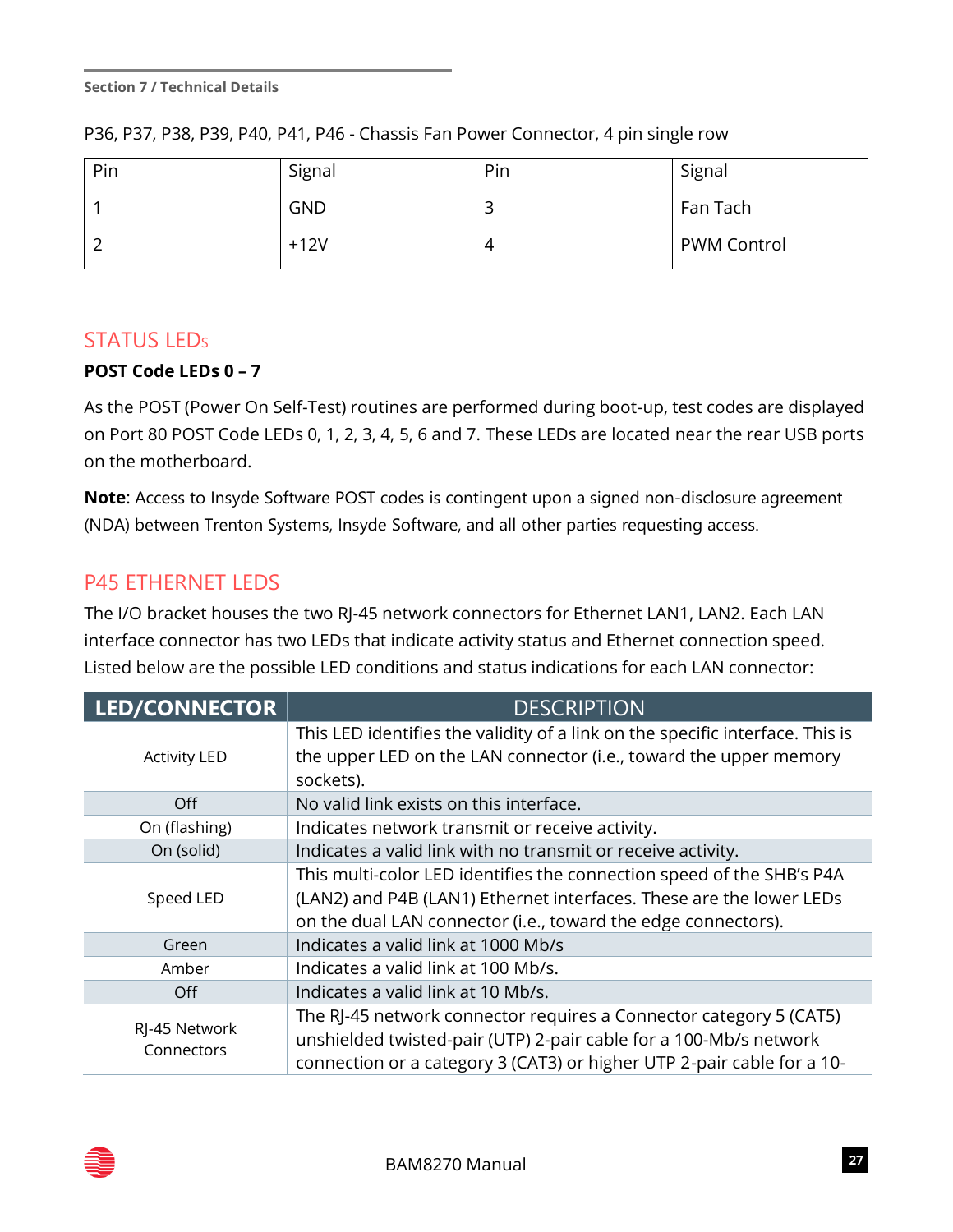| Pin | Signal     | Pin | Signal             |
|-----|------------|-----|--------------------|
|     | <b>GND</b> |     | Fan Tach           |
|     | $+12V$     |     | <b>PWM Control</b> |

P36, P37, P38, P39, P40, P41, P46 - Chassis Fan Power Connector, 4 pin single row

#### **STATUS LEDs**

#### **POST Code LEDs 0 – 7**

As the POST (Power On Self-Test) routines are performed during boot-up, test codes are displayed on Port 80 POST Code LEDs 0, 1, 2, 3, 4, 5, 6 and 7. These LEDs are located near the rear USB ports on the motherboard.

**Note**: Access to Insyde Software POST codes is contingent upon a signed non-disclosure agreement (NDA) between Trenton Systems, Insyde Software, and all other parties requesting access.

## P45 ETHERNET LEDS

The I/O bracket houses the two RJ-45 network connectors for Ethernet LAN1, LAN2. Each LAN interface connector has two LEDs that indicate activity status and Ethernet connection speed. Listed below are the possible LED conditions and status indications for each LAN connector:

| LED/CONNECTOR                                                                                                                                                                                                                                    | <b>DESCRIPTION</b>                                                                                                                                                                                            |  |  |
|--------------------------------------------------------------------------------------------------------------------------------------------------------------------------------------------------------------------------------------------------|---------------------------------------------------------------------------------------------------------------------------------------------------------------------------------------------------------------|--|--|
| <b>Activity LED</b>                                                                                                                                                                                                                              | This LED identifies the validity of a link on the specific interface. This is<br>the upper LED on the LAN connector (i.e., toward the upper memory<br>sockets).                                               |  |  |
| Off                                                                                                                                                                                                                                              | No valid link exists on this interface.                                                                                                                                                                       |  |  |
| On (flashing)                                                                                                                                                                                                                                    | Indicates network transmit or receive activity.                                                                                                                                                               |  |  |
| On (solid)                                                                                                                                                                                                                                       | Indicates a valid link with no transmit or receive activity.                                                                                                                                                  |  |  |
| Speed LED                                                                                                                                                                                                                                        | This multi-color LED identifies the connection speed of the SHB's P4A<br>(LAN2) and P4B (LAN1) Ethernet interfaces. These are the lower LEDs<br>on the dual LAN connector (i.e., toward the edge connectors). |  |  |
| Green                                                                                                                                                                                                                                            | Indicates a valid link at 1000 Mb/s                                                                                                                                                                           |  |  |
| Amber                                                                                                                                                                                                                                            | Indicates a valid link at 100 Mb/s.                                                                                                                                                                           |  |  |
| Off                                                                                                                                                                                                                                              | Indicates a valid link at 10 Mb/s.                                                                                                                                                                            |  |  |
| The RJ-45 network connector requires a Connector category 5 (CAT5)<br>RJ-45 Network<br>unshielded twisted-pair (UTP) 2-pair cable for a 100-Mb/s network<br>Connectors<br>connection or a category 3 (CAT3) or higher UTP 2-pair cable for a 10- |                                                                                                                                                                                                               |  |  |

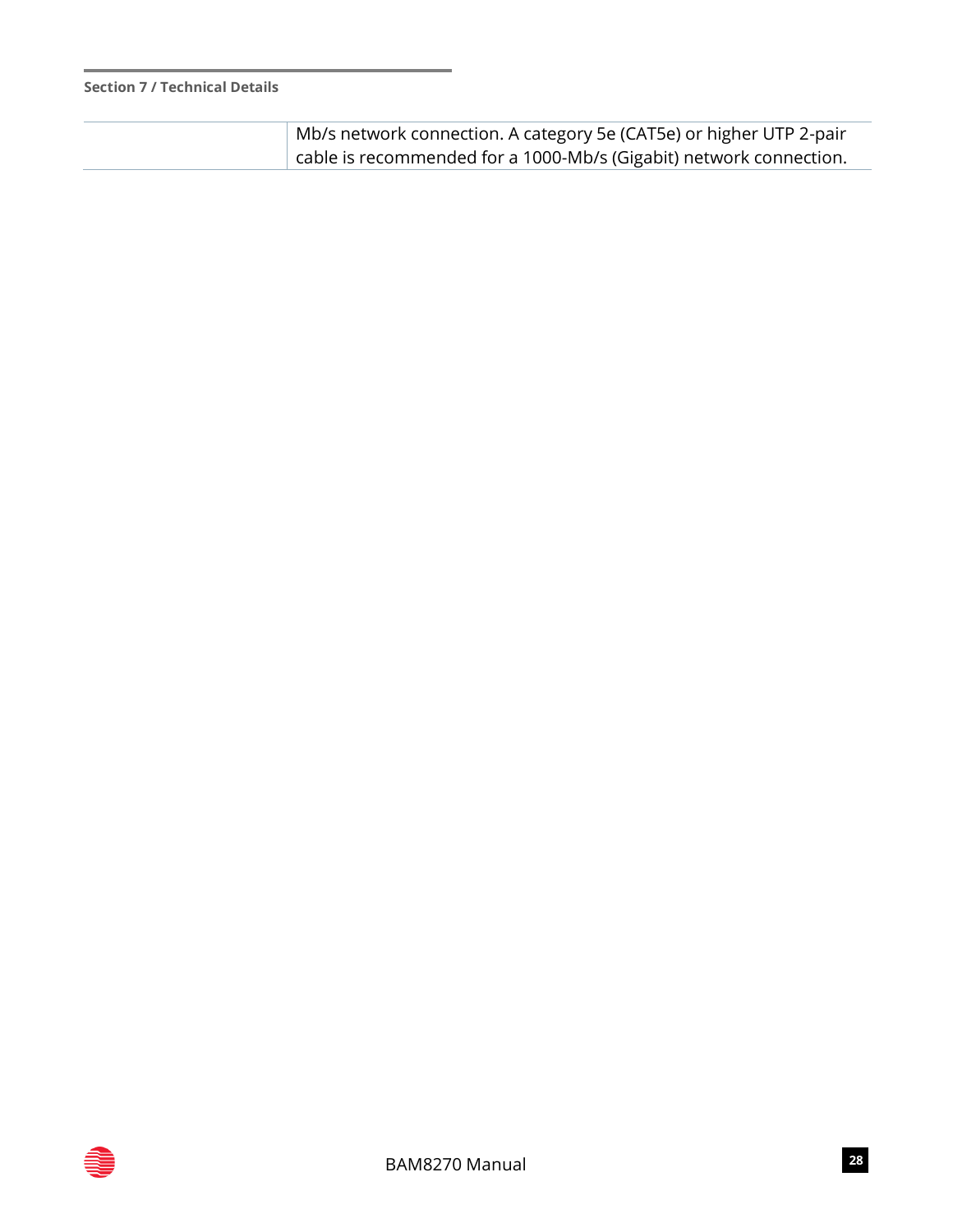| $^\perp$ Mb/s network connection. A category 5e (CAT5e) or higher UTP 2-pair |
|------------------------------------------------------------------------------|
| cable is recommended for a 1000-Mb/s (Gigabit) network connection.           |

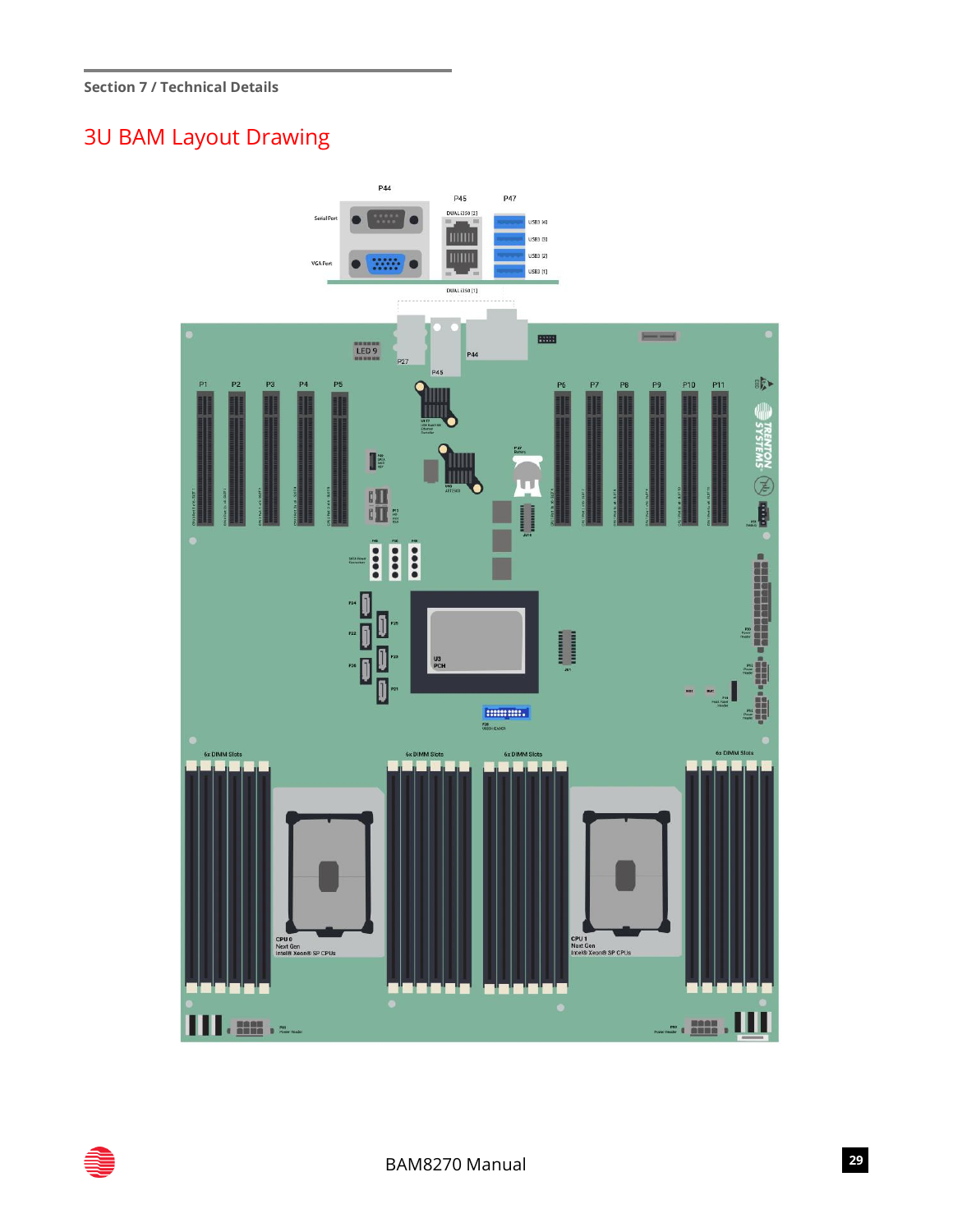## 3U BAM Layout Drawing



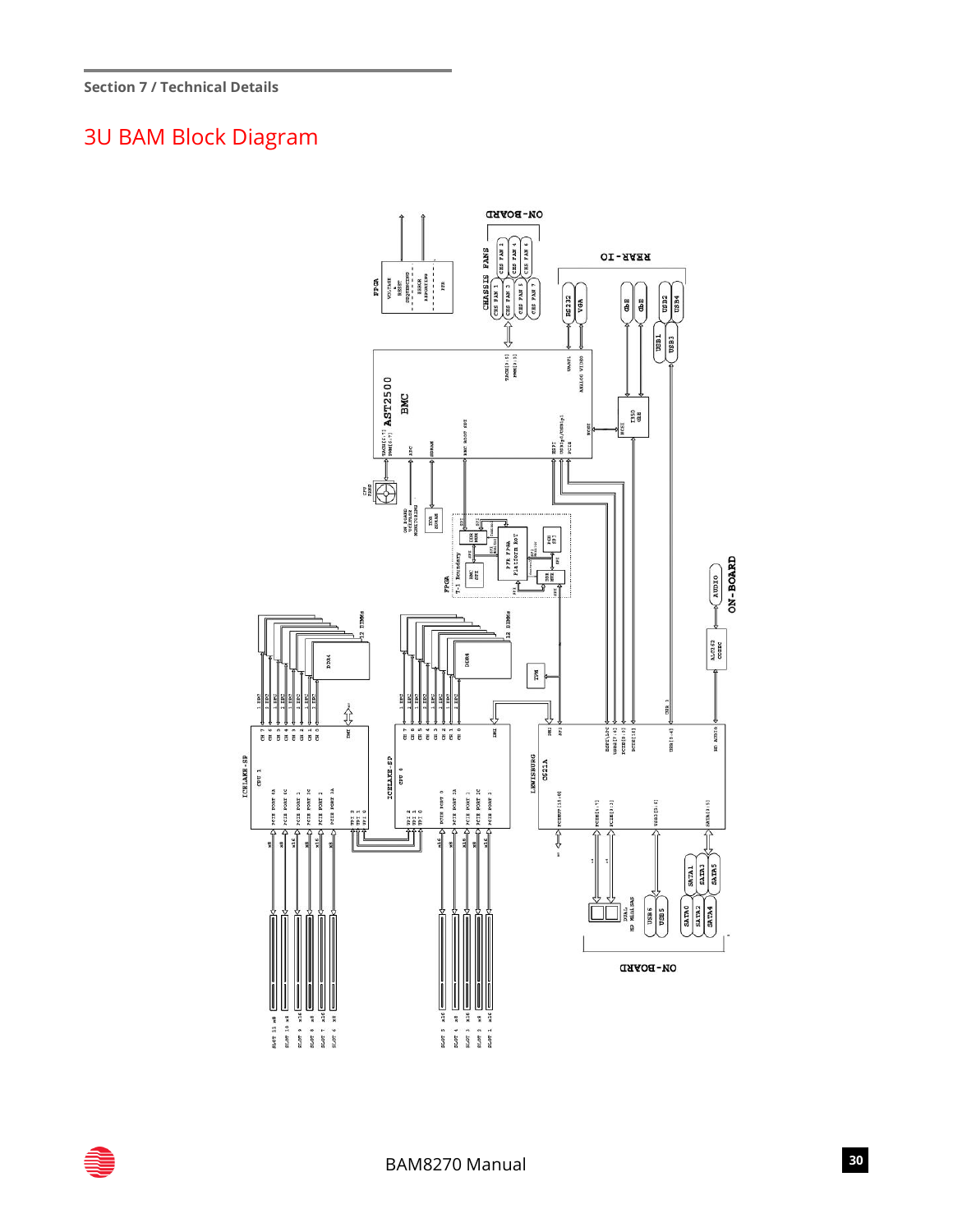## 3U BAM Block Diagram



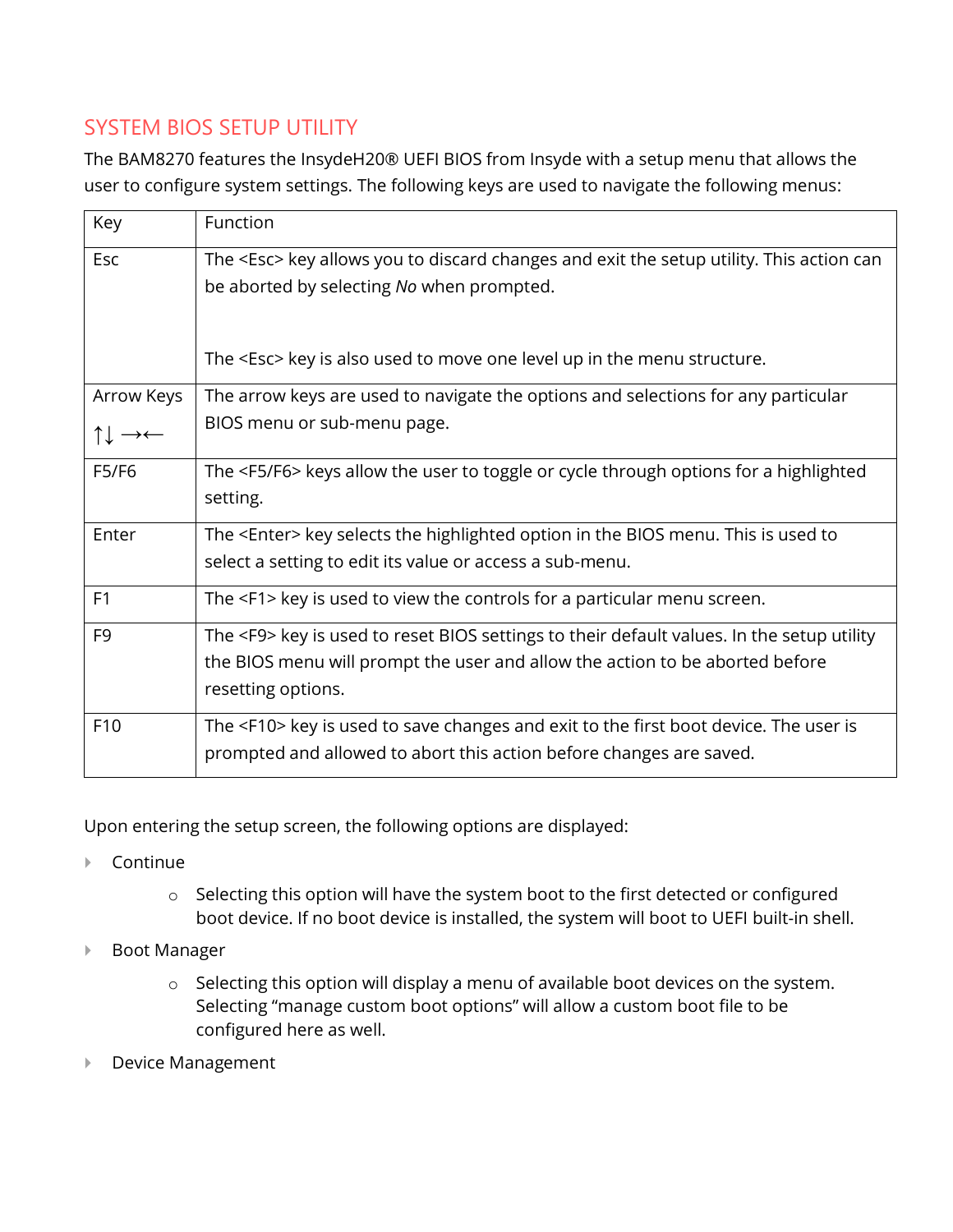## SYSTEM BIOS SETUP UTILITY

The BAM8270 features the InsydeH20® UEFI BIOS from Insyde with a setup menu that allows the user to configure system settings. The following keys are used to navigate the following menus:

| Key             | Function                                                                                                                                                                                               |
|-----------------|--------------------------------------------------------------------------------------------------------------------------------------------------------------------------------------------------------|
| Esc             | The <esc> key allows you to discard changes and exit the setup utility. This action can<br/>be aborted by selecting No when prompted.</esc>                                                            |
|                 | The <esc> key is also used to move one level up in the menu structure.</esc>                                                                                                                           |
| Arrow Keys      | The arrow keys are used to navigate the options and selections for any particular                                                                                                                      |
| ↑↓ →←           | BIOS menu or sub-menu page.                                                                                                                                                                            |
| F5/F6           | The <f5 f6=""> keys allow the user to toggle or cycle through options for a highlighted<br/>setting.</f5>                                                                                              |
| Enter           | The <enter> key selects the highlighted option in the BIOS menu. This is used to<br/>select a setting to edit its value or access a sub-menu.</enter>                                                  |
| F1              | The <f1> key is used to view the controls for a particular menu screen.</f1>                                                                                                                           |
| F <sub>9</sub>  | The <f9> key is used to reset BIOS settings to their default values. In the setup utility<br/>the BIOS menu will prompt the user and allow the action to be aborted before<br/>resetting options.</f9> |
| F <sub>10</sub> | The <f10> key is used to save changes and exit to the first boot device. The user is<br/>prompted and allowed to abort this action before changes are saved.</f10>                                     |

Upon entering the setup screen, the following options are displayed:

- ▶ Continue
	- o Selecting this option will have the system boot to the first detected or configured boot device. If no boot device is installed, the system will boot to UEFI built-in shell.
- ▶ Boot Manager
	- o Selecting this option will display a menu of available boot devices on the system. Selecting "manage custom boot options" will allow a custom boot file to be configured here as well.
- ▶ Device Management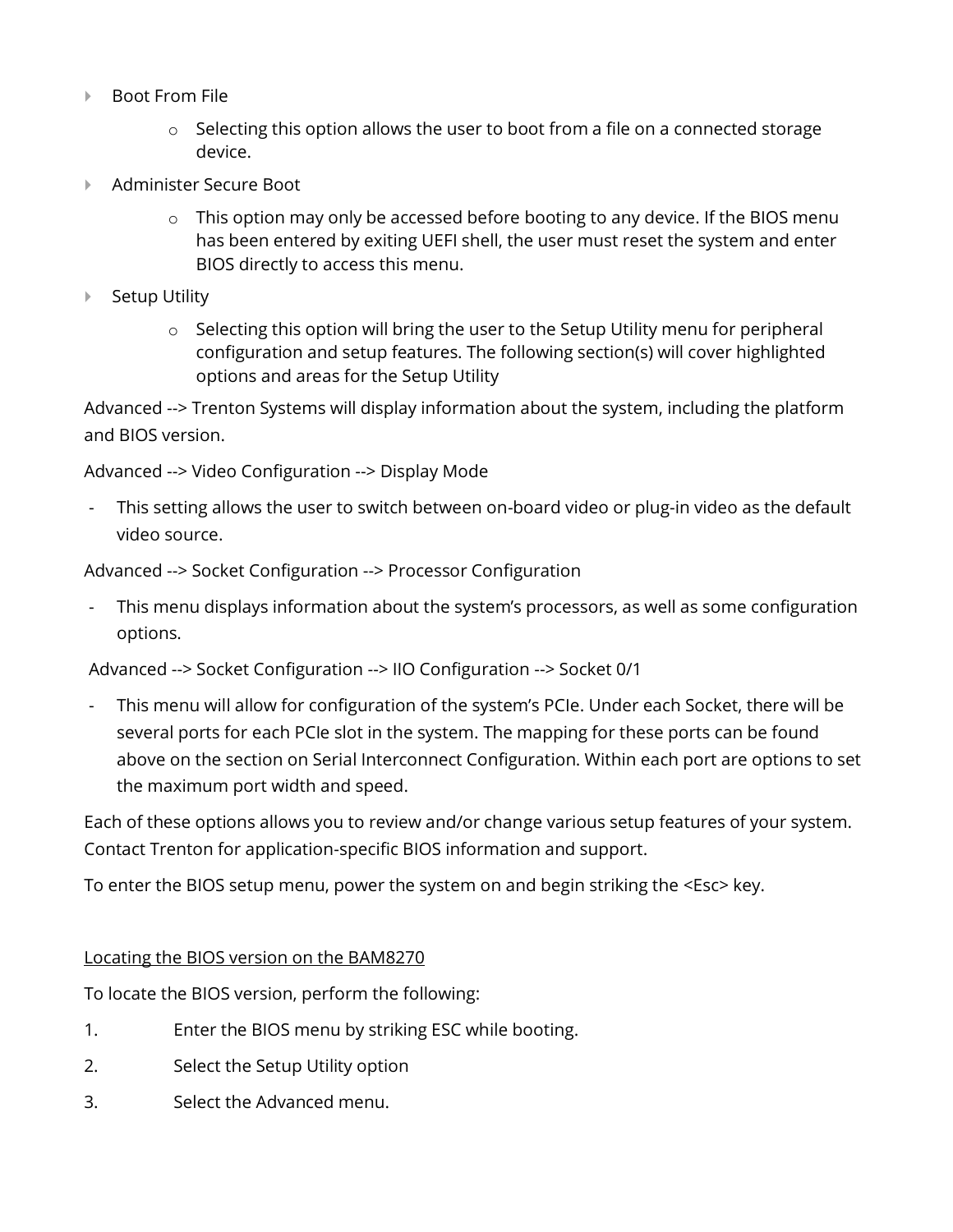- ▶ Boot From File
	- o Selecting this option allows the user to boot from a file on a connected storage device.
- ▶ Administer Secure Boot
	- $\circ$  This option may only be accessed before booting to any device. If the BIOS menu has been entered by exiting UEFI shell, the user must reset the system and enter BIOS directly to access this menu.
- ▶ Setup Utility
	- $\circ$  Selecting this option will bring the user to the Setup Utility menu for peripheral configuration and setup features. The following section(s) will cover highlighted options and areas for the Setup Utility

Advanced --> Trenton Systems will display information about the system, including the platform and BIOS version.

Advanced --> Video Configuration --> Display Mode

This setting allows the user to switch between on-board video or plug-in video as the default video source.

Advanced --> Socket Configuration --> Processor Configuration

This menu displays information about the system's processors, as well as some configuration options.

Advanced --> Socket Configuration --> IIO Configuration --> Socket 0/1

This menu will allow for configuration of the system's PCIe. Under each Socket, there will be several ports for each PCIe slot in the system. The mapping for these ports can be found above on the section on Serial Interconnect Configuration. Within each port are options to set the maximum port width and speed.

Each of these options allows you to review and/or change various setup features of your system. Contact Trenton for application-specific BIOS information and support.

To enter the BIOS setup menu, power the system on and begin striking the <Esc> key.

#### Locating the BIOS version on the BAM8270

To locate the BIOS version, perform the following:

- 1. Enter the BIOS menu by striking ESC while booting.
- 2. Select the Setup Utility option
- 3. Select the Advanced menu.